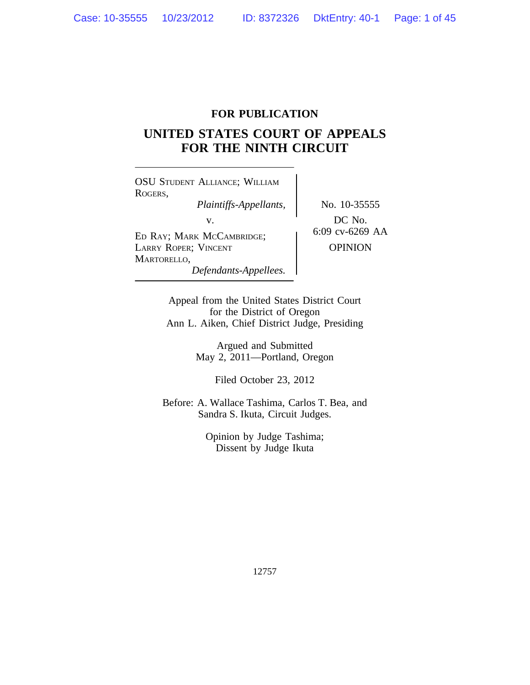# **FOR PUBLICATION**

# **UNITED STATES COURT OF APPEALS FOR THE NINTH CIRCUIT**

OSU STUDENT ALLIANCE; WILLIAM ROGERS, *Plaintiffs-Appellants,* No. 10-35555 v.<br>
ED RAY; MARK MCCAMBRIDGE; 6:09 cv-6269 AA LARRY ROPER; VINCENT | OPINION MARTORELLO, *Defendants-Appellees.*

Appeal from the United States District Court for the District of Oregon Ann L. Aiken, Chief District Judge, Presiding

> Argued and Submitted May 2, 2011—Portland, Oregon

> > Filed October 23, 2012

Before: A. Wallace Tashima, Carlos T. Bea, and Sandra S. Ikuta, Circuit Judges.

> Opinion by Judge Tashima; Dissent by Judge Ikuta

> > 12757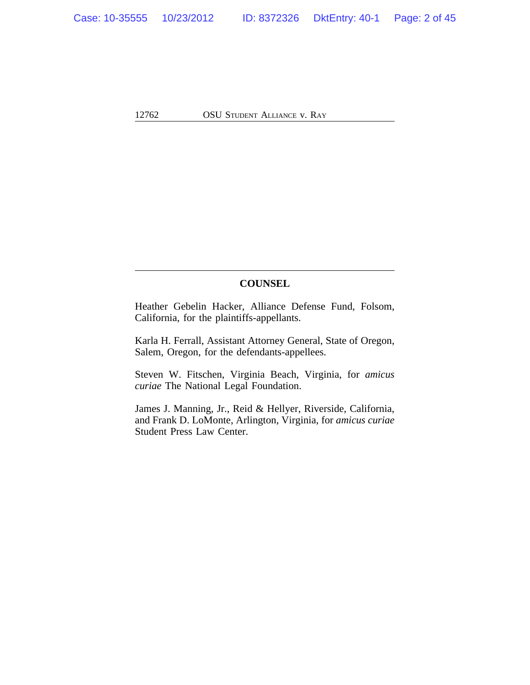# **COUNSEL**

Heather Gebelin Hacker, Alliance Defense Fund, Folsom, California, for the plaintiffs-appellants.

Karla H. Ferrall, Assistant Attorney General, State of Oregon, Salem, Oregon, for the defendants-appellees.

Steven W. Fitschen, Virginia Beach, Virginia, for *amicus curiae* The National Legal Foundation.

James J. Manning, Jr., Reid & Hellyer, Riverside, California, and Frank D. LoMonte, Arlington, Virginia, for *amicus curiae* Student Press Law Center.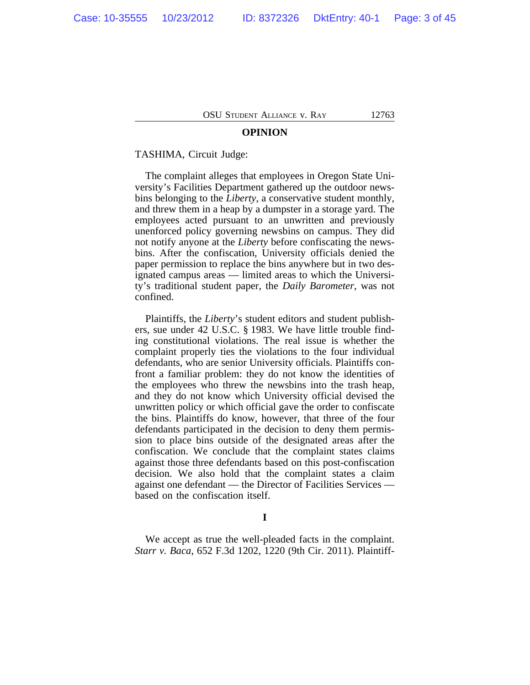### **OPINION**

### TASHIMA, Circuit Judge:

The complaint alleges that employees in Oregon State University's Facilities Department gathered up the outdoor newsbins belonging to the *Liberty*, a conservative student monthly, and threw them in a heap by a dumpster in a storage yard. The employees acted pursuant to an unwritten and previously unenforced policy governing newsbins on campus. They did not notify anyone at the *Liberty* before confiscating the newsbins. After the confiscation, University officials denied the paper permission to replace the bins anywhere but in two designated campus areas — limited areas to which the University's traditional student paper, the *Daily Barometer*, was not confined.

Plaintiffs, the *Liberty*'s student editors and student publishers, sue under 42 U.S.C. § 1983. We have little trouble finding constitutional violations. The real issue is whether the complaint properly ties the violations to the four individual defendants, who are senior University officials. Plaintiffs confront a familiar problem: they do not know the identities of the employees who threw the newsbins into the trash heap, and they do not know which University official devised the unwritten policy or which official gave the order to confiscate the bins. Plaintiffs do know, however, that three of the four defendants participated in the decision to deny them permission to place bins outside of the designated areas after the confiscation. We conclude that the complaint states claims against those three defendants based on this post-confiscation decision. We also hold that the complaint states a claim against one defendant — the Director of Facilities Services based on the confiscation itself.

**I**

We accept as true the well-pleaded facts in the complaint. *Starr v. Baca*, 652 F.3d 1202, 1220 (9th Cir. 2011). Plaintiff-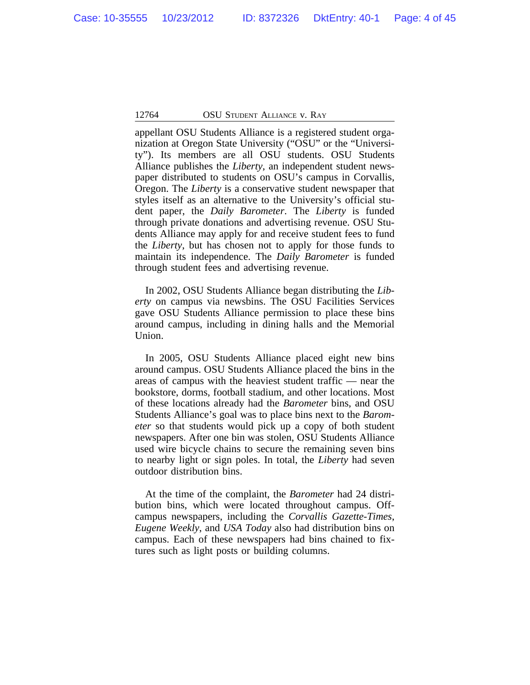appellant OSU Students Alliance is a registered student organization at Oregon State University ("OSU" or the "University"). Its members are all OSU students. OSU Students Alliance publishes the *Liberty*, an independent student newspaper distributed to students on OSU's campus in Corvallis, Oregon. The *Liberty* is a conservative student newspaper that styles itself as an alternative to the University's official student paper, the *Daily Barometer*. The *Liberty* is funded through private donations and advertising revenue. OSU Students Alliance may apply for and receive student fees to fund the *Liberty*, but has chosen not to apply for those funds to maintain its independence. The *Daily Barometer* is funded through student fees and advertising revenue.

In 2002, OSU Students Alliance began distributing the *Liberty* on campus via newsbins. The OSU Facilities Services gave OSU Students Alliance permission to place these bins around campus, including in dining halls and the Memorial Union.

In 2005, OSU Students Alliance placed eight new bins around campus. OSU Students Alliance placed the bins in the areas of campus with the heaviest student traffic — near the bookstore, dorms, football stadium, and other locations. Most of these locations already had the *Barometer* bins, and OSU Students Alliance's goal was to place bins next to the *Barometer* so that students would pick up a copy of both student newspapers. After one bin was stolen, OSU Students Alliance used wire bicycle chains to secure the remaining seven bins to nearby light or sign poles. In total, the *Liberty* had seven outdoor distribution bins.

At the time of the complaint, the *Barometer* had 24 distribution bins, which were located throughout campus. Offcampus newspapers, including the *Corvallis Gazette-Times*, *Eugene Weekly*, and *USA Today* also had distribution bins on campus. Each of these newspapers had bins chained to fixtures such as light posts or building columns.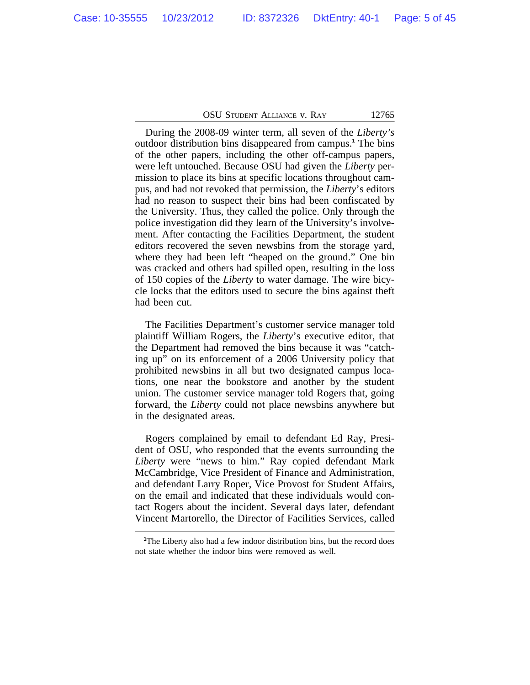During the 2008-09 winter term, all seven of the *Liberty's* outdoor distribution bins disappeared from campus.**<sup>1</sup>** The bins of the other papers, including the other off-campus papers, were left untouched. Because OSU had given the *Liberty* permission to place its bins at specific locations throughout campus, and had not revoked that permission, the *Liberty*'s editors had no reason to suspect their bins had been confiscated by the University. Thus, they called the police. Only through the police investigation did they learn of the University's involvement. After contacting the Facilities Department, the student editors recovered the seven newsbins from the storage yard, where they had been left "heaped on the ground." One bin was cracked and others had spilled open, resulting in the loss of 150 copies of the *Liberty* to water damage. The wire bicycle locks that the editors used to secure the bins against theft had been cut.

The Facilities Department's customer service manager told plaintiff William Rogers, the *Liberty*'s executive editor, that the Department had removed the bins because it was "catching up" on its enforcement of a 2006 University policy that prohibited newsbins in all but two designated campus locations, one near the bookstore and another by the student union. The customer service manager told Rogers that, going forward, the *Liberty* could not place newsbins anywhere but in the designated areas.

Rogers complained by email to defendant Ed Ray, President of OSU, who responded that the events surrounding the *Liberty* were "news to him." Ray copied defendant Mark McCambridge, Vice President of Finance and Administration, and defendant Larry Roper, Vice Provost for Student Affairs, on the email and indicated that these individuals would contact Rogers about the incident. Several days later, defendant Vincent Martorello, the Director of Facilities Services, called

<sup>&</sup>lt;sup>1</sup>The Liberty also had a few indoor distribution bins, but the record does not state whether the indoor bins were removed as well.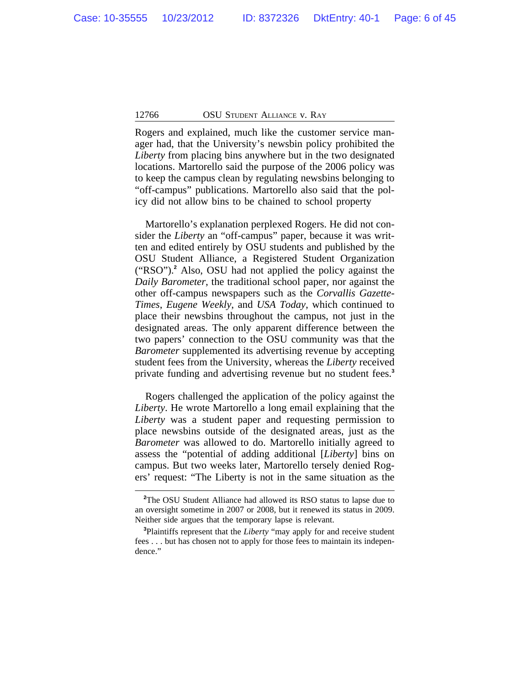Rogers and explained, much like the customer service manager had, that the University's newsbin policy prohibited the *Liberty* from placing bins anywhere but in the two designated locations. Martorello said the purpose of the 2006 policy was to keep the campus clean by regulating newsbins belonging to "off-campus" publications. Martorello also said that the policy did not allow bins to be chained to school property

Martorello's explanation perplexed Rogers. He did not consider the *Liberty* an "off-campus" paper, because it was written and edited entirely by OSU students and published by the OSU Student Alliance, a Registered Student Organization ("RSO").**<sup>2</sup>** Also, OSU had not applied the policy against the *Daily Barometer*, the traditional school paper, nor against the other off-campus newspapers such as the *Corvallis Gazette-Times*, *Eugene Weekly*, and *USA Today*, which continued to place their newsbins throughout the campus, not just in the designated areas. The only apparent difference between the two papers' connection to the OSU community was that the *Barometer* supplemented its advertising revenue by accepting student fees from the University, whereas the *Liberty* received private funding and advertising revenue but no student fees.**<sup>3</sup>**

Rogers challenged the application of the policy against the *Liberty*. He wrote Martorello a long email explaining that the *Liberty* was a student paper and requesting permission to place newsbins outside of the designated areas, just as the *Barometer* was allowed to do. Martorello initially agreed to assess the "potential of adding additional [*Liberty*] bins on campus. But two weeks later, Martorello tersely denied Rogers' request: "The Liberty is not in the same situation as the

**<sup>2</sup>**The OSU Student Alliance had allowed its RSO status to lapse due to an oversight sometime in 2007 or 2008, but it renewed its status in 2009. Neither side argues that the temporary lapse is relevant.

**<sup>3</sup>**Plaintiffs represent that the *Liberty* "may apply for and receive student fees . . . but has chosen not to apply for those fees to maintain its independence."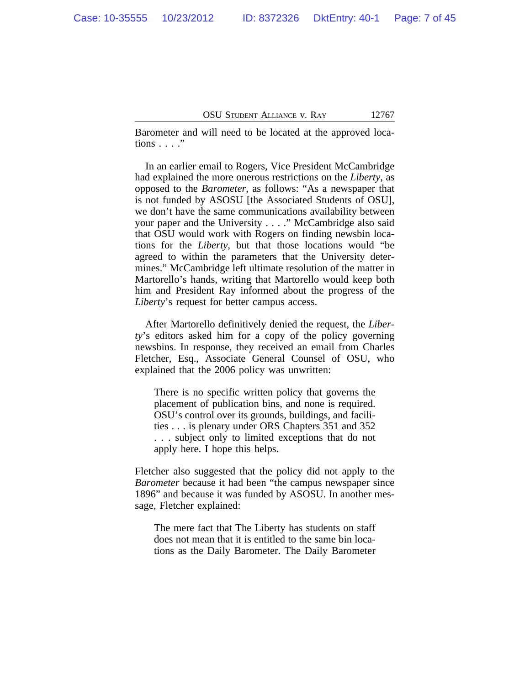Barometer and will need to be located at the approved locations . . . ."

In an earlier email to Rogers, Vice President McCambridge had explained the more onerous restrictions on the *Liberty*, as opposed to the *Barometer*, as follows: "As a newspaper that is not funded by ASOSU [the Associated Students of OSU], we don't have the same communications availability between your paper and the University . . . ." McCambridge also said that OSU would work with Rogers on finding newsbin locations for the *Liberty*, but that those locations would "be agreed to within the parameters that the University determines." McCambridge left ultimate resolution of the matter in Martorello's hands, writing that Martorello would keep both him and President Ray informed about the progress of the *Liberty*'s request for better campus access.

After Martorello definitively denied the request, the *Liberty*'s editors asked him for a copy of the policy governing newsbins. In response, they received an email from Charles Fletcher, Esq., Associate General Counsel of OSU, who explained that the 2006 policy was unwritten:

There is no specific written policy that governs the placement of publication bins, and none is required. OSU's control over its grounds, buildings, and facilities . . . is plenary under ORS Chapters 351 and 352 . . . subject only to limited exceptions that do not apply here. I hope this helps.

Fletcher also suggested that the policy did not apply to the *Barometer* because it had been "the campus newspaper since 1896" and because it was funded by ASOSU. In another message, Fletcher explained:

The mere fact that The Liberty has students on staff does not mean that it is entitled to the same bin locations as the Daily Barometer. The Daily Barometer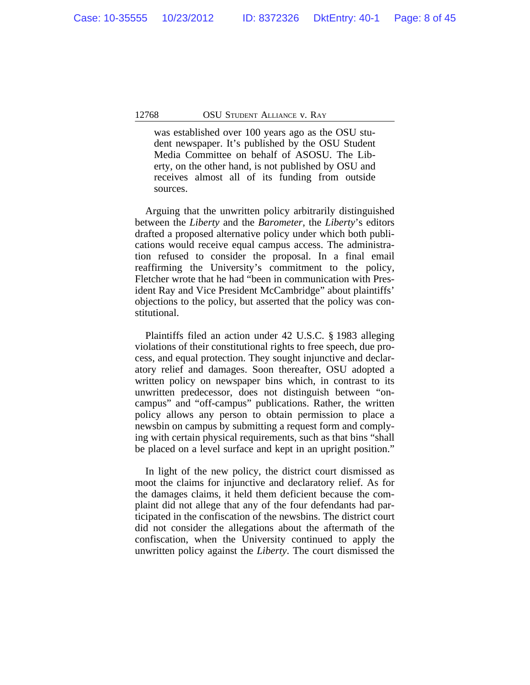was established over 100 years ago as the OSU student newspaper. It's published by the OSU Student Media Committee on behalf of ASOSU. The Liberty, on the other hand, is not published by OSU and receives almost all of its funding from outside sources.

Arguing that the unwritten policy arbitrarily distinguished between the *Liberty* and the *Barometer*, the *Liberty*'s editors drafted a proposed alternative policy under which both publications would receive equal campus access. The administration refused to consider the proposal. In a final email reaffirming the University's commitment to the policy, Fletcher wrote that he had "been in communication with President Ray and Vice President McCambridge" about plaintiffs' objections to the policy, but asserted that the policy was constitutional.

Plaintiffs filed an action under 42 U.S.C. § 1983 alleging violations of their constitutional rights to free speech, due process, and equal protection. They sought injunctive and declaratory relief and damages. Soon thereafter, OSU adopted a written policy on newspaper bins which, in contrast to its unwritten predecessor, does not distinguish between "oncampus" and "off-campus" publications. Rather, the written policy allows any person to obtain permission to place a newsbin on campus by submitting a request form and complying with certain physical requirements, such as that bins "shall be placed on a level surface and kept in an upright position."

In light of the new policy, the district court dismissed as moot the claims for injunctive and declaratory relief. As for the damages claims, it held them deficient because the complaint did not allege that any of the four defendants had participated in the confiscation of the newsbins. The district court did not consider the allegations about the aftermath of the confiscation, when the University continued to apply the unwritten policy against the *Liberty*. The court dismissed the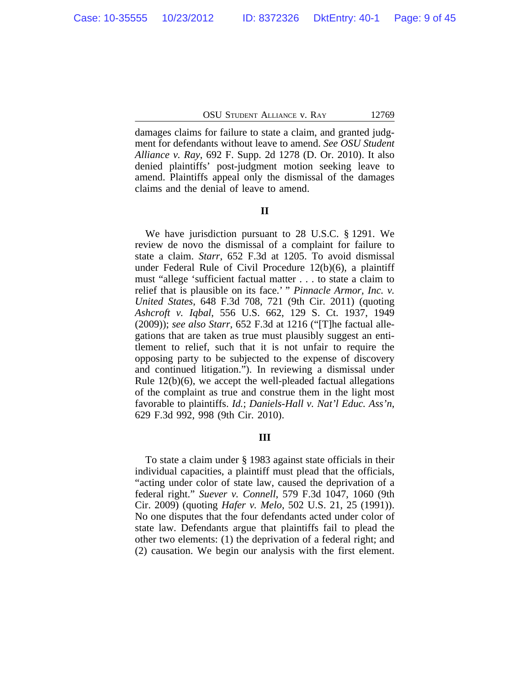damages claims for failure to state a claim, and granted judgment for defendants without leave to amend. *See OSU Student Alliance v. Ray*, 692 F. Supp. 2d 1278 (D. Or. 2010). It also denied plaintiffs' post-judgment motion seeking leave to amend. Plaintiffs appeal only the dismissal of the damages claims and the denial of leave to amend.

# **II**

We have jurisdiction pursuant to 28 U.S.C. § 1291. We review de novo the dismissal of a complaint for failure to state a claim. *Starr*, 652 F.3d at 1205. To avoid dismissal under Federal Rule of Civil Procedure 12(b)(6), a plaintiff must "allege 'sufficient factual matter . . . to state a claim to relief that is plausible on its face.' " *Pinnacle Armor, Inc. v. United States*, 648 F.3d 708, 721 (9th Cir. 2011) (quoting *Ashcroft v. Iqbal*, 556 U.S. 662, 129 S. Ct. 1937, 1949 (2009)); *see also Starr*, 652 F.3d at 1216 ("[T]he factual allegations that are taken as true must plausibly suggest an entitlement to relief, such that it is not unfair to require the opposing party to be subjected to the expense of discovery and continued litigation."). In reviewing a dismissal under Rule 12(b)(6), we accept the well-pleaded factual allegations of the complaint as true and construe them in the light most favorable to plaintiffs. *Id.*; *Daniels-Hall v. Nat'l Educ. Ass'n*, 629 F.3d 992, 998 (9th Cir. 2010).

### **III**

To state a claim under § 1983 against state officials in their individual capacities, a plaintiff must plead that the officials, "acting under color of state law, caused the deprivation of a federal right." *Suever v. Connell*, 579 F.3d 1047, 1060 (9th Cir. 2009) (quoting *Hafer v. Melo*, 502 U.S. 21, 25 (1991)). No one disputes that the four defendants acted under color of state law. Defendants argue that plaintiffs fail to plead the other two elements: (1) the deprivation of a federal right; and (2) causation. We begin our analysis with the first element.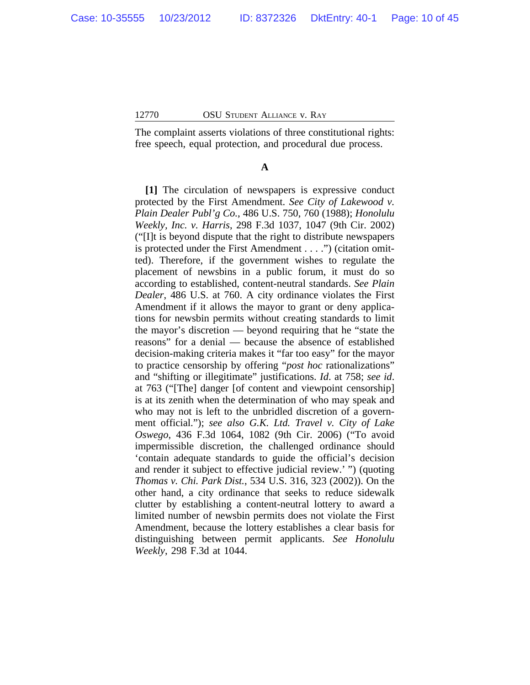The complaint asserts violations of three constitutional rights: free speech, equal protection, and procedural due process.

## **A**

**[1]** The circulation of newspapers is expressive conduct protected by the First Amendment. *See City of Lakewood v. Plain Dealer Publ'g Co.*, 486 U.S. 750, 760 (1988); *Honolulu Weekly, Inc. v. Harris*, 298 F.3d 1037, 1047 (9th Cir. 2002) ("[I]t is beyond dispute that the right to distribute newspapers is protected under the First Amendment . . . .") (citation omitted). Therefore, if the government wishes to regulate the placement of newsbins in a public forum, it must do so according to established, content-neutral standards. *See Plain Dealer*, 486 U.S. at 760. A city ordinance violates the First Amendment if it allows the mayor to grant or deny applications for newsbin permits without creating standards to limit the mayor's discretion — beyond requiring that he "state the reasons" for a denial — because the absence of established decision-making criteria makes it "far too easy" for the mayor to practice censorship by offering "*post hoc* rationalizations" and "shifting or illegitimate" justifications. *Id*. at 758; *see id*. at 763 ("[The] danger [of content and viewpoint censorship] is at its zenith when the determination of who may speak and who may not is left to the unbridled discretion of a government official."); *see also G.K. Ltd. Travel v. City of Lake Oswego*, 436 F.3d 1064, 1082 (9th Cir. 2006) ("To avoid impermissible discretion, the challenged ordinance should 'contain adequate standards to guide the official's decision and render it subject to effective judicial review.' ") (quoting *Thomas v. Chi. Park Dist.*, 534 U.S. 316, 323 (2002)). On the other hand, a city ordinance that seeks to reduce sidewalk clutter by establishing a content-neutral lottery to award a limited number of newsbin permits does not violate the First Amendment, because the lottery establishes a clear basis for distinguishing between permit applicants. *See Honolulu Weekly*, 298 F.3d at 1044.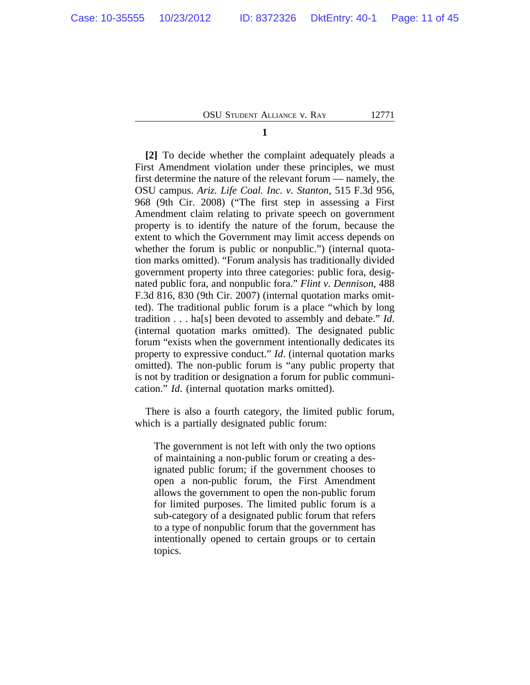**1**

**[2]** To decide whether the complaint adequately pleads a First Amendment violation under these principles, we must first determine the nature of the relevant forum — namely, the OSU campus. *Ariz. Life Coal. Inc. v. Stanton*, 515 F.3d 956, 968 (9th Cir. 2008) ("The first step in assessing a First Amendment claim relating to private speech on government property is to identify the nature of the forum, because the extent to which the Government may limit access depends on whether the forum is public or nonpublic.") (internal quotation marks omitted). "Forum analysis has traditionally divided government property into three categories: public fora, designated public fora, and nonpublic fora." *Flint v. Dennison*, 488 F.3d 816, 830 (9th Cir. 2007) (internal quotation marks omitted). The traditional public forum is a place "which by long tradition . . . ha[s] been devoted to assembly and debate." *Id*. (internal quotation marks omitted). The designated public forum "exists when the government intentionally dedicates its property to expressive conduct." *Id*. (internal quotation marks omitted). The non-public forum is "any public property that is not by tradition or designation a forum for public communication." *Id*. (internal quotation marks omitted).

There is also a fourth category, the limited public forum, which is a partially designated public forum:

The government is not left with only the two options of maintaining a non-public forum or creating a designated public forum; if the government chooses to open a non-public forum, the First Amendment allows the government to open the non-public forum for limited purposes. The limited public forum is a sub-category of a designated public forum that refers to a type of nonpublic forum that the government has intentionally opened to certain groups or to certain topics.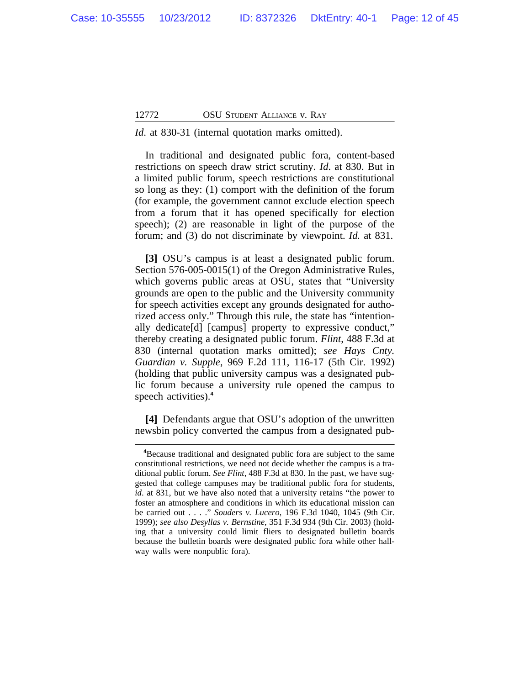*Id.* at 830-31 (internal quotation marks omitted).

In traditional and designated public fora, content-based restrictions on speech draw strict scrutiny. *Id*. at 830. But in a limited public forum, speech restrictions are constitutional so long as they: (1) comport with the definition of the forum (for example, the government cannot exclude election speech from a forum that it has opened specifically for election speech); (2) are reasonable in light of the purpose of the forum; and (3) do not discriminate by viewpoint. *Id.* at 831.

**[3]** OSU's campus is at least a designated public forum. Section 576-005-0015(1) of the Oregon Administrative Rules, which governs public areas at OSU, states that "University grounds are open to the public and the University community for speech activities except any grounds designated for authorized access only." Through this rule, the state has "intentionally dedicate[d] [campus] property to expressive conduct," thereby creating a designated public forum. *Flint*, 488 F.3d at 830 (internal quotation marks omitted); *see Hays Cnty. Guardian v. Supple*, 969 F.2d 111, 116-17 (5th Cir. 1992) (holding that public university campus was a designated public forum because a university rule opened the campus to speech activities).**<sup>4</sup>**

**[4]** Defendants argue that OSU's adoption of the unwritten newsbin policy converted the campus from a designated pub-

**<sup>4</sup>**Because traditional and designated public fora are subject to the same constitutional restrictions, we need not decide whether the campus is a traditional public forum. *See Flint*, 488 F.3d at 830. In the past, we have suggested that college campuses may be traditional public fora for students, *id*. at 831, but we have also noted that a university retains "the power to foster an atmosphere and conditions in which its educational mission can be carried out . . . ." *Souders v. Lucero*, 196 F.3d 1040, 1045 (9th Cir. 1999); *see also Desyllas v. Bernstine*, 351 F.3d 934 (9th Cir. 2003) (holding that a university could limit fliers to designated bulletin boards because the bulletin boards were designated public fora while other hallway walls were nonpublic fora).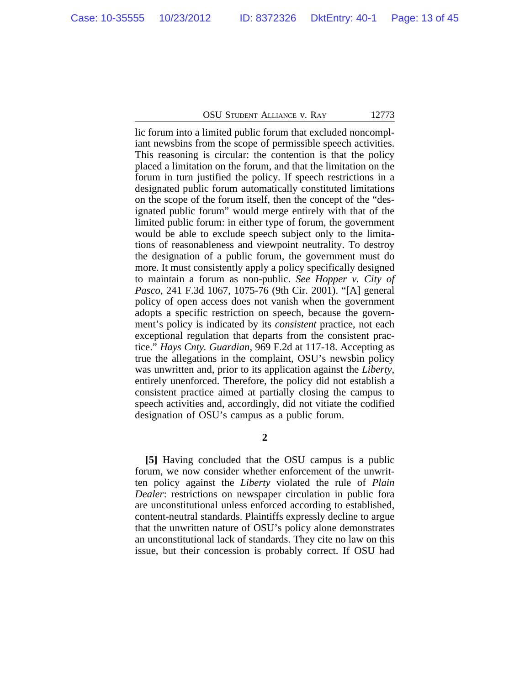lic forum into a limited public forum that excluded noncompliant newsbins from the scope of permissible speech activities. This reasoning is circular: the contention is that the policy placed a limitation on the forum, and that the limitation on the forum in turn justified the policy. If speech restrictions in a designated public forum automatically constituted limitations on the scope of the forum itself, then the concept of the "designated public forum" would merge entirely with that of the limited public forum: in either type of forum, the government would be able to exclude speech subject only to the limitations of reasonableness and viewpoint neutrality. To destroy the designation of a public forum, the government must do more. It must consistently apply a policy specifically designed to maintain a forum as non-public. *See Hopper v. City of Pasco*, 241 F.3d 1067, 1075-76 (9th Cir. 2001). "[A] general policy of open access does not vanish when the government adopts a specific restriction on speech, because the government's policy is indicated by its *consistent* practice, not each exceptional regulation that departs from the consistent practice." *Hays Cnty. Guardian*, 969 F.2d at 117-18. Accepting as true the allegations in the complaint, OSU's newsbin policy was unwritten and, prior to its application against the *Liberty*, entirely unenforced. Therefore, the policy did not establish a consistent practice aimed at partially closing the campus to speech activities and, accordingly, did not vitiate the codified designation of OSU's campus as a public forum.

**2**

**[5]** Having concluded that the OSU campus is a public forum, we now consider whether enforcement of the unwritten policy against the *Liberty* violated the rule of *Plain Dealer*: restrictions on newspaper circulation in public fora are unconstitutional unless enforced according to established, content-neutral standards. Plaintiffs expressly decline to argue that the unwritten nature of OSU's policy alone demonstrates an unconstitutional lack of standards. They cite no law on this issue, but their concession is probably correct. If OSU had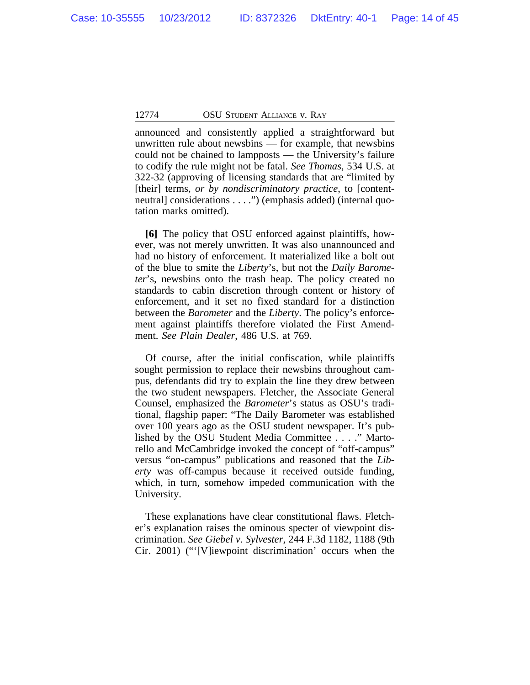announced and consistently applied a straightforward but unwritten rule about newsbins — for example, that newsbins could not be chained to lampposts — the University's failure to codify the rule might not be fatal. *See Thomas*, 534 U.S. at 322-32 (approving of licensing standards that are "limited by [their] terms, *or by nondiscriminatory practice*, to [contentneutral] considerations . . . .") (emphasis added) (internal quotation marks omitted).

**[6]** The policy that OSU enforced against plaintiffs, however, was not merely unwritten. It was also unannounced and had no history of enforcement. It materialized like a bolt out of the blue to smite the *Liberty*'s, but not the *Daily Barometer*'s, newsbins onto the trash heap. The policy created no standards to cabin discretion through content or history of enforcement, and it set no fixed standard for a distinction between the *Barometer* and the *Liberty*. The policy's enforcement against plaintiffs therefore violated the First Amendment. *See Plain Dealer*, 486 U.S. at 769.

Of course, after the initial confiscation, while plaintiffs sought permission to replace their newsbins throughout campus, defendants did try to explain the line they drew between the two student newspapers. Fletcher, the Associate General Counsel, emphasized the *Barometer*'s status as OSU's traditional, flagship paper: "The Daily Barometer was established over 100 years ago as the OSU student newspaper. It's published by the OSU Student Media Committee . . . ." Martorello and McCambridge invoked the concept of "off-campus" versus "on-campus" publications and reasoned that the *Liberty* was off-campus because it received outside funding, which, in turn, somehow impeded communication with the University.

These explanations have clear constitutional flaws. Fletcher's explanation raises the ominous specter of viewpoint discrimination. *See Giebel v. Sylvester*, 244 F.3d 1182, 1188 (9th Cir. 2001) ("'[V]iewpoint discrimination' occurs when the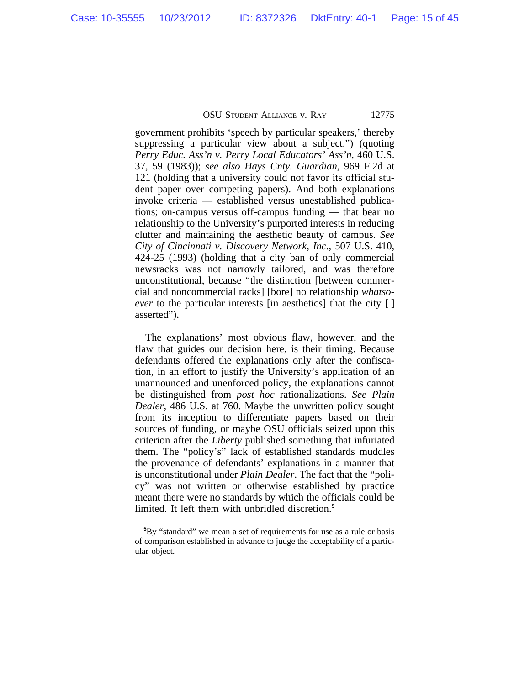government prohibits 'speech by particular speakers,' thereby suppressing a particular view about a subject.") (quoting *Perry Educ. Ass'n v. Perry Local Educators' Ass'n*, 460 U.S. 37, 59 (1983)); *see also Hays Cnty. Guardian*, 969 F.2d at 121 (holding that a university could not favor its official student paper over competing papers). And both explanations invoke criteria — established versus unestablished publications; on-campus versus off-campus funding — that bear no relationship to the University's purported interests in reducing clutter and maintaining the aesthetic beauty of campus. *See City of Cincinnati v. Discovery Network, Inc.*, 507 U.S. 410, 424-25 (1993) (holding that a city ban of only commercial newsracks was not narrowly tailored, and was therefore unconstitutional, because "the distinction [between commercial and noncommercial racks] [bore] no relationship *whatsoever* to the particular interests [in aesthetics] that the city [ ] asserted").

The explanations' most obvious flaw, however, and the flaw that guides our decision here, is their timing. Because defendants offered the explanations only after the confiscation, in an effort to justify the University's application of an unannounced and unenforced policy, the explanations cannot be distinguished from *post hoc* rationalizations. *See Plain Dealer*, 486 U.S. at 760. Maybe the unwritten policy sought from its inception to differentiate papers based on their sources of funding, or maybe OSU officials seized upon this criterion after the *Liberty* published something that infuriated them. The "policy's" lack of established standards muddles the provenance of defendants' explanations in a manner that is unconstitutional under *Plain Dealer*. The fact that the "policy" was not written or otherwise established by practice meant there were no standards by which the officials could be limited. It left them with unbridled discretion.**<sup>5</sup>**

**<sup>5</sup>**By "standard" we mean a set of requirements for use as a rule or basis of comparison established in advance to judge the acceptability of a particular object.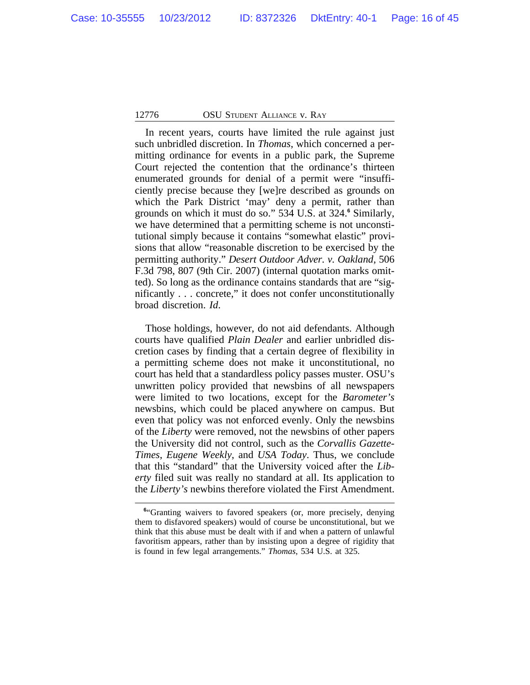In recent years, courts have limited the rule against just such unbridled discretion. In *Thomas*, which concerned a permitting ordinance for events in a public park, the Supreme Court rejected the contention that the ordinance's thirteen enumerated grounds for denial of a permit were "insufficiently precise because they [we]re described as grounds on which the Park District 'may' deny a permit, rather than grounds on which it must do so." 534 U.S. at 324.**<sup>6</sup>** Similarly, we have determined that a permitting scheme is not unconstitutional simply because it contains "somewhat elastic" provisions that allow "reasonable discretion to be exercised by the permitting authority." *Desert Outdoor Adver. v. Oakland*, 506 F.3d 798, 807 (9th Cir. 2007) (internal quotation marks omitted). So long as the ordinance contains standards that are "significantly . . . concrete," it does not confer unconstitutionally broad discretion. *Id*.

Those holdings, however, do not aid defendants. Although courts have qualified *Plain Dealer* and earlier unbridled discretion cases by finding that a certain degree of flexibility in a permitting scheme does not make it unconstitutional, no court has held that a standardless policy passes muster. OSU's unwritten policy provided that newsbins of all newspapers were limited to two locations, except for the *Barometer's* newsbins, which could be placed anywhere on campus. But even that policy was not enforced evenly. Only the newsbins of the *Liberty* were removed, not the newsbins of other papers the University did not control, such as the *Corvallis Gazette-Times*, *Eugene Weekly*, and *USA Today*. Thus, we conclude that this "standard" that the University voiced after the *Liberty* filed suit was really no standard at all. Its application to the *Liberty's* newbins therefore violated the First Amendment.

<sup>&</sup>lt;sup>6</sup>"Granting waivers to favored speakers (or, more precisely, denying them to disfavored speakers) would of course be unconstitutional, but we think that this abuse must be dealt with if and when a pattern of unlawful favoritism appears, rather than by insisting upon a degree of rigidity that is found in few legal arrangements." *Thomas*, 534 U.S. at 325.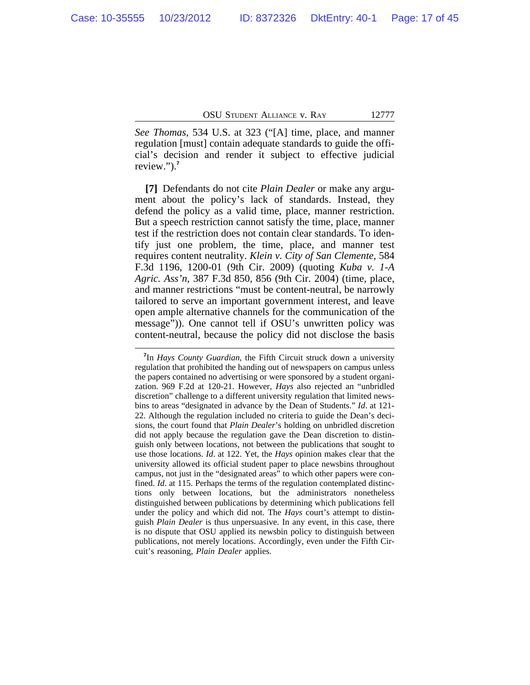*See Thomas*, 534 U.S. at 323 ("[A] time, place, and manner regulation [must] contain adequate standards to guide the official's decision and render it subject to effective judicial review.").**<sup>7</sup>**

**[7]** Defendants do not cite *Plain Dealer* or make any argument about the policy's lack of standards. Instead, they defend the policy as a valid time, place, manner restriction. But a speech restriction cannot satisfy the time, place, manner test if the restriction does not contain clear standards. To identify just one problem, the time, place, and manner test requires content neutrality. *Klein v. City of San Clemente*, 584 F.3d 1196, 1200-01 (9th Cir. 2009) (quoting *Kuba v. 1-A Agric. Ass'n*, 387 F.3d 850, 856 (9th Cir. 2004) (time, place, and manner restrictions "must be content-neutral, be narrowly tailored to serve an important government interest, and leave open ample alternative channels for the communication of the message")). One cannot tell if OSU's unwritten policy was content-neutral, because the policy did not disclose the basis

**<sup>7</sup>** In *Hays County Guardian*, the Fifth Circuit struck down a university regulation that prohibited the handing out of newspapers on campus unless the papers contained no advertising or were sponsored by a student organization. 969 F.2d at 120-21. However, *Hays* also rejected an "unbridled discretion" challenge to a different university regulation that limited newsbins to areas "designated in advance by the Dean of Students." *Id*. at 121- 22. Although the regulation included no criteria to guide the Dean's decisions, the court found that *Plain Dealer*'s holding on unbridled discretion did not apply because the regulation gave the Dean discretion to distinguish only between locations, not between the publications that sought to use those locations. *Id*. at 122. Yet, the *Hays* opinion makes clear that the university allowed its official student paper to place newsbins throughout campus, not just in the "designated areas" to which other papers were confined. *Id*. at 115. Perhaps the terms of the regulation contemplated distinctions only between locations, but the administrators nonetheless distinguished between publications by determining which publications fell under the policy and which did not. The *Hays* court's attempt to distinguish *Plain Dealer* is thus unpersuasive. In any event, in this case, there is no dispute that OSU applied its newsbin policy to distinguish between publications, not merely locations. Accordingly, even under the Fifth Circuit's reasoning, *Plain Dealer* applies.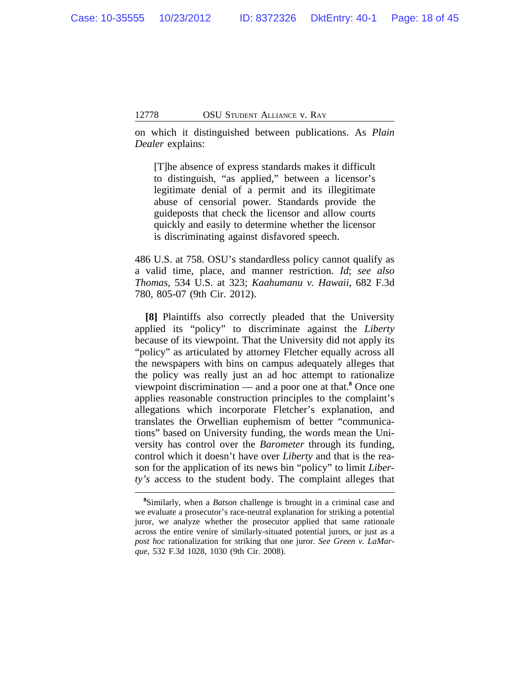on which it distinguished between publications. As *Plain Dealer* explains:

[T]he absence of express standards makes it difficult to distinguish, "as applied," between a licensor's legitimate denial of a permit and its illegitimate abuse of censorial power. Standards provide the guideposts that check the licensor and allow courts quickly and easily to determine whether the licensor is discriminating against disfavored speech.

486 U.S. at 758. OSU's standardless policy cannot qualify as a valid time, place, and manner restriction. *Id*; *see also Thomas*, 534 U.S. at 323; *Kaahumanu v. Hawaii*, 682 F.3d 780, 805-07 (9th Cir. 2012).

**[8]** Plaintiffs also correctly pleaded that the University applied its "policy" to discriminate against the *Liberty* because of its viewpoint. That the University did not apply its "policy" as articulated by attorney Fletcher equally across all the newspapers with bins on campus adequately alleges that the policy was really just an ad hoc attempt to rationalize viewpoint discrimination — and a poor one at that.**<sup>8</sup>** Once one applies reasonable construction principles to the complaint's allegations which incorporate Fletcher's explanation, and translates the Orwellian euphemism of better "communications" based on University funding, the words mean the University has control over the *Barometer* through its funding, control which it doesn't have over *Liberty* and that is the reason for the application of its news bin "policy" to limit *Liberty's* access to the student body. The complaint alleges that

**<sup>8</sup>**Similarly, when a *Batson* challenge is brought in a criminal case and we evaluate a prosecutor's race-neutral explanation for striking a potential juror, we analyze whether the prosecutor applied that same rationale across the entire venire of similarly-situated potential jurors, or just as a *post hoc* rationalization for striking that one juror. *See Green v. LaMarque*, 532 F.3d 1028, 1030 (9th Cir. 2008).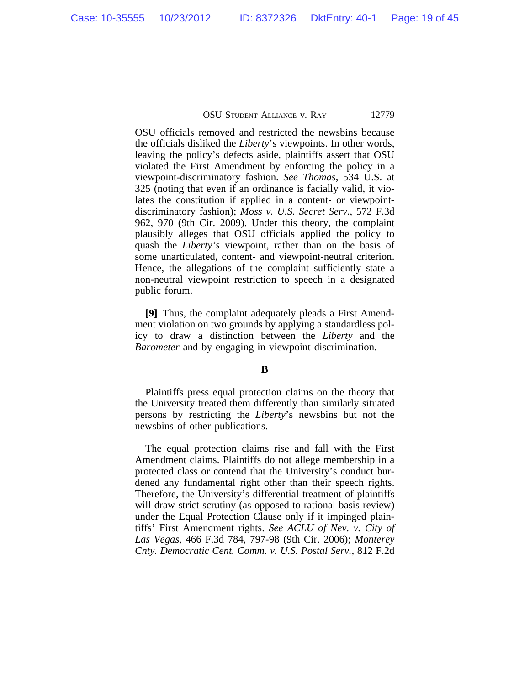OSU officials removed and restricted the newsbins because the officials disliked the *Liberty*'s viewpoints. In other words, leaving the policy's defects aside, plaintiffs assert that OSU violated the First Amendment by enforcing the policy in a viewpoint-discriminatory fashion. *See Thomas*, 534 U.S. at 325 (noting that even if an ordinance is facially valid, it violates the constitution if applied in a content- or viewpointdiscriminatory fashion); *Moss v. U.S. Secret Serv.*, 572 F.3d 962, 970 (9th Cir. 2009). Under this theory, the complaint plausibly alleges that OSU officials applied the policy to quash the *Liberty's* viewpoint, rather than on the basis of some unarticulated, content- and viewpoint-neutral criterion. Hence, the allegations of the complaint sufficiently state a non-neutral viewpoint restriction to speech in a designated public forum.

**[9]** Thus, the complaint adequately pleads a First Amendment violation on two grounds by applying a standardless policy to draw a distinction between the *Liberty* and the *Barometer* and by engaging in viewpoint discrimination.

### **B**

Plaintiffs press equal protection claims on the theory that the University treated them differently than similarly situated persons by restricting the *Liberty*'s newsbins but not the newsbins of other publications.

The equal protection claims rise and fall with the First Amendment claims. Plaintiffs do not allege membership in a protected class or contend that the University's conduct burdened any fundamental right other than their speech rights. Therefore, the University's differential treatment of plaintiffs will draw strict scrutiny (as opposed to rational basis review) under the Equal Protection Clause only if it impinged plaintiffs' First Amendment rights. *See ACLU of Nev. v. City of Las Vegas*, 466 F.3d 784, 797-98 (9th Cir. 2006); *Monterey Cnty. Democratic Cent. Comm. v. U.S. Postal Serv.*, 812 F.2d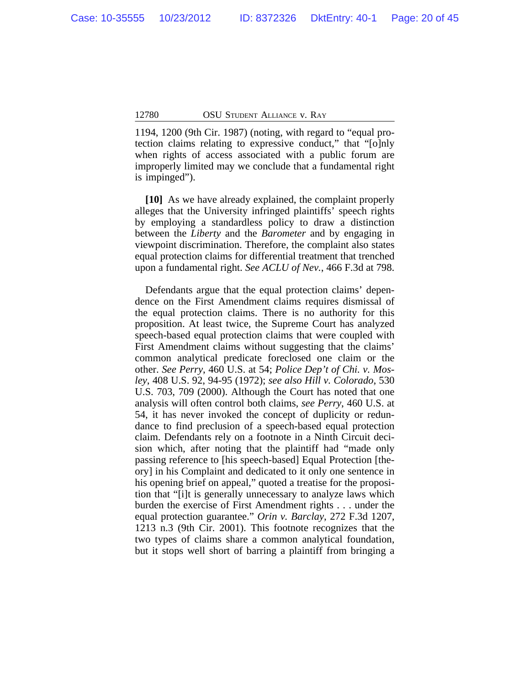1194, 1200 (9th Cir. 1987) (noting, with regard to "equal protection claims relating to expressive conduct," that "[o]nly when rights of access associated with a public forum are improperly limited may we conclude that a fundamental right is impinged").

**[10]** As we have already explained, the complaint properly alleges that the University infringed plaintiffs' speech rights by employing a standardless policy to draw a distinction between the *Liberty* and the *Barometer* and by engaging in viewpoint discrimination. Therefore, the complaint also states equal protection claims for differential treatment that trenched upon a fundamental right. *See ACLU of Nev.*, 466 F.3d at 798.

Defendants argue that the equal protection claims' dependence on the First Amendment claims requires dismissal of the equal protection claims. There is no authority for this proposition. At least twice, the Supreme Court has analyzed speech-based equal protection claims that were coupled with First Amendment claims without suggesting that the claims' common analytical predicate foreclosed one claim or the other. *See Perry*, 460 U.S. at 54; *Police Dep't of Chi. v. Mosley*, 408 U.S. 92, 94-95 (1972); *see also Hill v. Colorado*, 530 U.S. 703, 709 (2000). Although the Court has noted that one analysis will often control both claims, *see Perry*, 460 U.S. at 54, it has never invoked the concept of duplicity or redundance to find preclusion of a speech-based equal protection claim. Defendants rely on a footnote in a Ninth Circuit decision which, after noting that the plaintiff had "made only passing reference to [his speech-based] Equal Protection [theory] in his Complaint and dedicated to it only one sentence in his opening brief on appeal," quoted a treatise for the proposition that "[i]t is generally unnecessary to analyze laws which burden the exercise of First Amendment rights . . . under the equal protection guarantee." *Orin v. Barclay*, 272 F.3d 1207, 1213 n.3 (9th Cir. 2001). This footnote recognizes that the two types of claims share a common analytical foundation, but it stops well short of barring a plaintiff from bringing a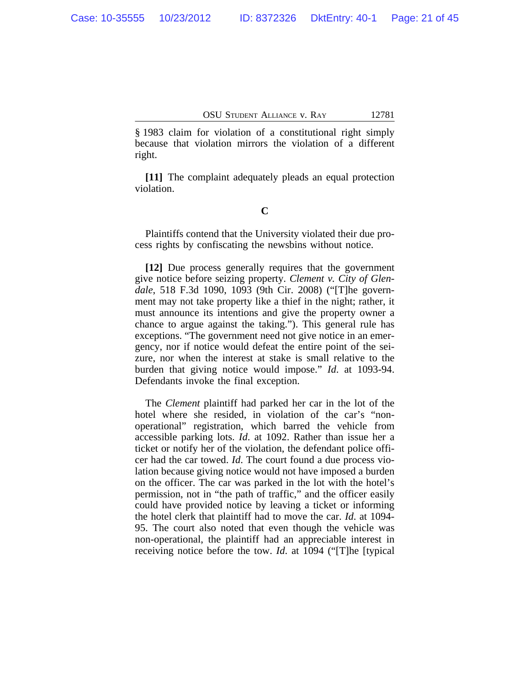§ 1983 claim for violation of a constitutional right simply because that violation mirrors the violation of a different right.

**[11]** The complaint adequately pleads an equal protection violation.

# **C**

Plaintiffs contend that the University violated their due process rights by confiscating the newsbins without notice.

**[12]** Due process generally requires that the government give notice before seizing property. *Clement v. City of Glendale*, 518 F.3d 1090, 1093 (9th Cir. 2008) ("[T]he government may not take property like a thief in the night; rather, it must announce its intentions and give the property owner a chance to argue against the taking."). This general rule has exceptions. "The government need not give notice in an emergency, nor if notice would defeat the entire point of the seizure, nor when the interest at stake is small relative to the burden that giving notice would impose." *Id*. at 1093-94. Defendants invoke the final exception.

The *Clement* plaintiff had parked her car in the lot of the hotel where she resided, in violation of the car's "nonoperational" registration, which barred the vehicle from accessible parking lots. *Id*. at 1092. Rather than issue her a ticket or notify her of the violation, the defendant police officer had the car towed. *Id*. The court found a due process violation because giving notice would not have imposed a burden on the officer. The car was parked in the lot with the hotel's permission, not in "the path of traffic," and the officer easily could have provided notice by leaving a ticket or informing the hotel clerk that plaintiff had to move the car. *Id*. at 1094- 95. The court also noted that even though the vehicle was non-operational, the plaintiff had an appreciable interest in receiving notice before the tow. *Id*. at 1094 ("[T]he [typical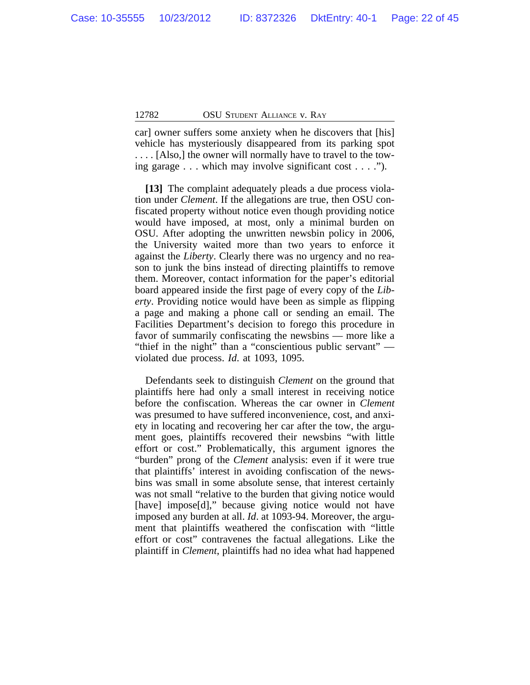car] owner suffers some anxiety when he discovers that [his] vehicle has mysteriously disappeared from its parking spot . . . . [Also,] the owner will normally have to travel to the towing garage . . . which may involve significant cost . . . .").

**[13]** The complaint adequately pleads a due process violation under *Clement*. If the allegations are true, then OSU confiscated property without notice even though providing notice would have imposed, at most, only a minimal burden on OSU. After adopting the unwritten newsbin policy in 2006, the University waited more than two years to enforce it against the *Liberty*. Clearly there was no urgency and no reason to junk the bins instead of directing plaintiffs to remove them. Moreover, contact information for the paper's editorial board appeared inside the first page of every copy of the *Liberty*. Providing notice would have been as simple as flipping a page and making a phone call or sending an email. The Facilities Department's decision to forego this procedure in favor of summarily confiscating the newsbins — more like a "thief in the night" than a "conscientious public servant" violated due process. *Id*. at 1093, 1095.

Defendants seek to distinguish *Clement* on the ground that plaintiffs here had only a small interest in receiving notice before the confiscation. Whereas the car owner in *Clement* was presumed to have suffered inconvenience, cost, and anxiety in locating and recovering her car after the tow, the argument goes, plaintiffs recovered their newsbins "with little effort or cost." Problematically, this argument ignores the "burden" prong of the *Clement* analysis: even if it were true that plaintiffs' interest in avoiding confiscation of the newsbins was small in some absolute sense, that interest certainly was not small "relative to the burden that giving notice would [have] impose[d]," because giving notice would not have imposed any burden at all. *Id*. at 1093-94. Moreover, the argument that plaintiffs weathered the confiscation with "little effort or cost" contravenes the factual allegations. Like the plaintiff in *Clement*, plaintiffs had no idea what had happened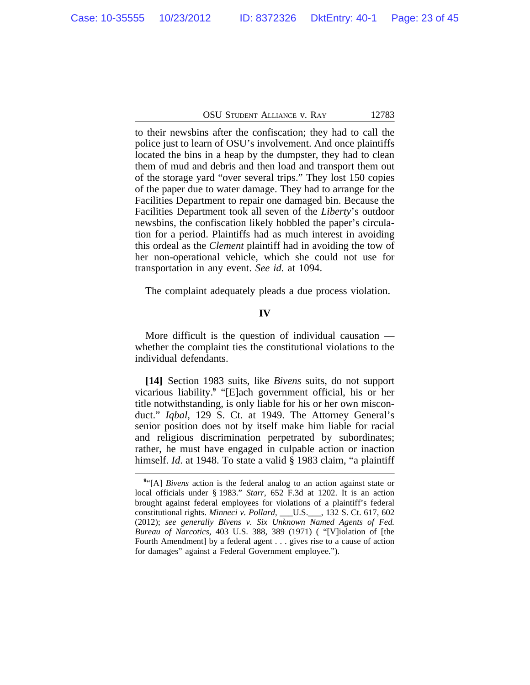to their newsbins after the confiscation; they had to call the police just to learn of OSU's involvement. And once plaintiffs located the bins in a heap by the dumpster, they had to clean them of mud and debris and then load and transport them out of the storage yard "over several trips." They lost 150 copies of the paper due to water damage. They had to arrange for the Facilities Department to repair one damaged bin. Because the Facilities Department took all seven of the *Liberty*'s outdoor newsbins, the confiscation likely hobbled the paper's circulation for a period. Plaintiffs had as much interest in avoiding this ordeal as the *Clement* plaintiff had in avoiding the tow of her non-operational vehicle, which she could not use for transportation in any event. *See id.* at 1094.

The complaint adequately pleads a due process violation.

### **IV**

More difficult is the question of individual causation whether the complaint ties the constitutional violations to the individual defendants.

**[14]** Section 1983 suits, like *Bivens* suits, do not support vicarious liability.**<sup>9</sup>** "[E]ach government official, his or her title notwithstanding, is only liable for his or her own misconduct." *Iqbal*, 129 S. Ct. at 1949. The Attorney General's senior position does not by itself make him liable for racial and religious discrimination perpetrated by subordinates; rather, he must have engaged in culpable action or inaction himself. *Id*. at 1948. To state a valid § 1983 claim, "a plaintiff

**<sup>9</sup>** "[A] *Bivens* action is the federal analog to an action against state or local officials under § 1983." *Starr*, 652 F.3d at 1202. It is an action brought against federal employees for violations of a plaintiff's federal constitutional rights. *Minneci v. Pollard*, \_\_\_U.S.\_\_\_, 132 S. Ct. 617, 602 (2012); *see generally Bivens v. Six Unknown Named Agents of Fed. Bureau of Narcotics*, 403 U.S. 388, 389 (1971) ( "[V]iolation of [the Fourth Amendment] by a federal agent . . . gives rise to a cause of action for damages" against a Federal Government employee.").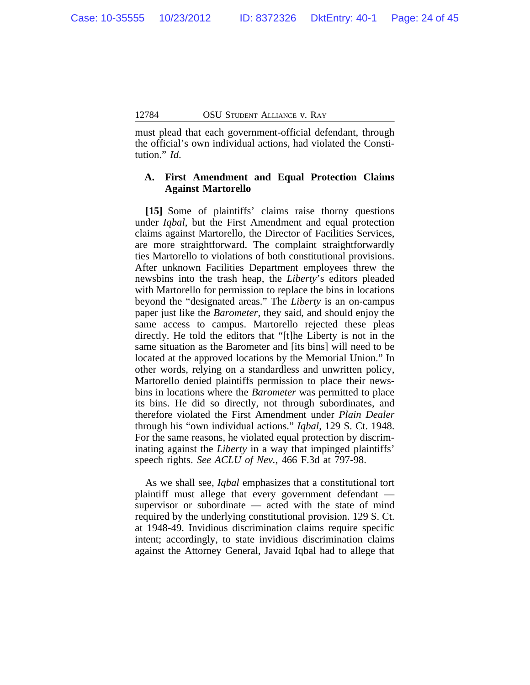must plead that each government-official defendant, through the official's own individual actions, had violated the Constitution." *Id*.

# **A. First Amendment and Equal Protection Claims Against Martorello**

**[15]** Some of plaintiffs' claims raise thorny questions under *Iqbal*, but the First Amendment and equal protection claims against Martorello, the Director of Facilities Services, are more straightforward. The complaint straightforwardly ties Martorello to violations of both constitutional provisions. After unknown Facilities Department employees threw the newsbins into the trash heap, the *Liberty*'s editors pleaded with Martorello for permission to replace the bins in locations beyond the "designated areas." The *Liberty* is an on-campus paper just like the *Barometer*, they said, and should enjoy the same access to campus. Martorello rejected these pleas directly. He told the editors that "[t]he Liberty is not in the same situation as the Barometer and [its bins] will need to be located at the approved locations by the Memorial Union." In other words, relying on a standardless and unwritten policy, Martorello denied plaintiffs permission to place their newsbins in locations where the *Barometer* was permitted to place its bins. He did so directly, not through subordinates, and therefore violated the First Amendment under *Plain Dealer* through his "own individual actions." *Iqbal*, 129 S. Ct. 1948. For the same reasons, he violated equal protection by discriminating against the *Liberty* in a way that impinged plaintiffs' speech rights. *See ACLU of Nev.*, 466 F.3d at 797-98.

As we shall see, *Iqbal* emphasizes that a constitutional tort plaintiff must allege that every government defendant supervisor or subordinate — acted with the state of mind required by the underlying constitutional provision. 129 S. Ct. at 1948-49. Invidious discrimination claims require specific intent; accordingly, to state invidious discrimination claims against the Attorney General, Javaid Iqbal had to allege that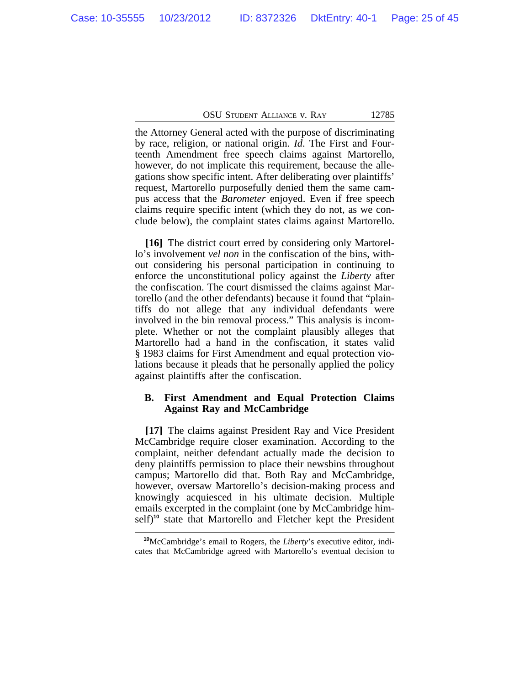the Attorney General acted with the purpose of discriminating by race, religion, or national origin. *Id*. The First and Fourteenth Amendment free speech claims against Martorello, however, do not implicate this requirement, because the allegations show specific intent. After deliberating over plaintiffs' request, Martorello purposefully denied them the same campus access that the *Barometer* enjoyed. Even if free speech claims require specific intent (which they do not, as we conclude below), the complaint states claims against Martorello.

**[16]** The district court erred by considering only Martorello's involvement *vel non* in the confiscation of the bins, without considering his personal participation in continuing to enforce the unconstitutional policy against the *Liberty* after the confiscation. The court dismissed the claims against Martorello (and the other defendants) because it found that "plaintiffs do not allege that any individual defendants were involved in the bin removal process." This analysis is incomplete. Whether or not the complaint plausibly alleges that Martorello had a hand in the confiscation, it states valid § 1983 claims for First Amendment and equal protection violations because it pleads that he personally applied the policy against plaintiffs after the confiscation.

# **B. First Amendment and Equal Protection Claims Against Ray and McCambridge**

**[17]** The claims against President Ray and Vice President McCambridge require closer examination. According to the complaint, neither defendant actually made the decision to deny plaintiffs permission to place their newsbins throughout campus; Martorello did that. Both Ray and McCambridge, however, oversaw Martorello's decision-making process and knowingly acquiesced in his ultimate decision. Multiple emails excerpted in the complaint (one by McCambridge himself)**<sup>10</sup>** state that Martorello and Fletcher kept the President

**<sup>10</sup>**McCambridge's email to Rogers, the *Liberty*'s executive editor, indicates that McCambridge agreed with Martorello's eventual decision to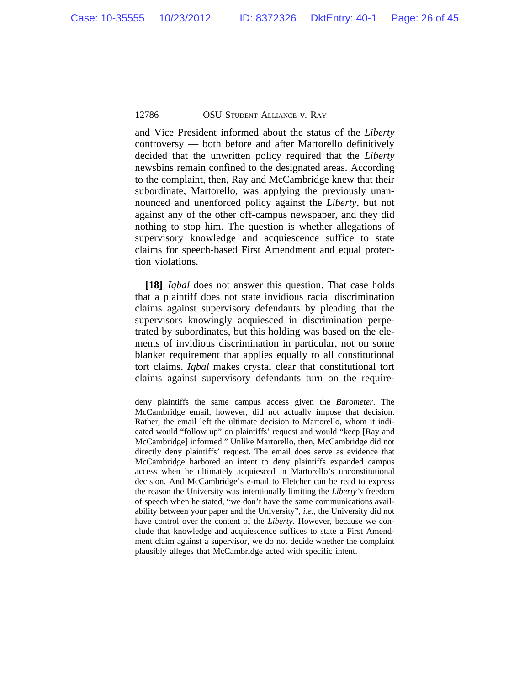and Vice President informed about the status of the *Liberty* controversy — both before and after Martorello definitively decided that the unwritten policy required that the *Liberty* newsbins remain confined to the designated areas. According to the complaint, then, Ray and McCambridge knew that their subordinate, Martorello, was applying the previously unannounced and unenforced policy against the *Liberty*, but not against any of the other off-campus newspaper, and they did nothing to stop him. The question is whether allegations of supervisory knowledge and acquiescence suffice to state claims for speech-based First Amendment and equal protection violations.

**[18]** *Iqbal* does not answer this question. That case holds that a plaintiff does not state invidious racial discrimination claims against supervisory defendants by pleading that the supervisors knowingly acquiesced in discrimination perpetrated by subordinates, but this holding was based on the elements of invidious discrimination in particular, not on some blanket requirement that applies equally to all constitutional tort claims. *Iqbal* makes crystal clear that constitutional tort claims against supervisory defendants turn on the require-

deny plaintiffs the same campus access given the *Barometer*. The McCambridge email, however, did not actually impose that decision. Rather, the email left the ultimate decision to Martorello, whom it indicated would "follow up" on plaintiffs' request and would "keep [Ray and McCambridge] informed." Unlike Martorello, then, McCambridge did not directly deny plaintiffs' request. The email does serve as evidence that McCambridge harbored an intent to deny plaintiffs expanded campus access when he ultimately acquiesced in Martorello's unconstitutional decision. And McCambridge's e-mail to Fletcher can be read to express the reason the University was intentionally limiting the *Liberty's* freedom of speech when he stated, "we don't have the same communications availability between your paper and the University", *i.e.*, the University did not have control over the content of the *Liberty*. However, because we conclude that knowledge and acquiescence suffices to state a First Amendment claim against a supervisor, we do not decide whether the complaint plausibly alleges that McCambridge acted with specific intent.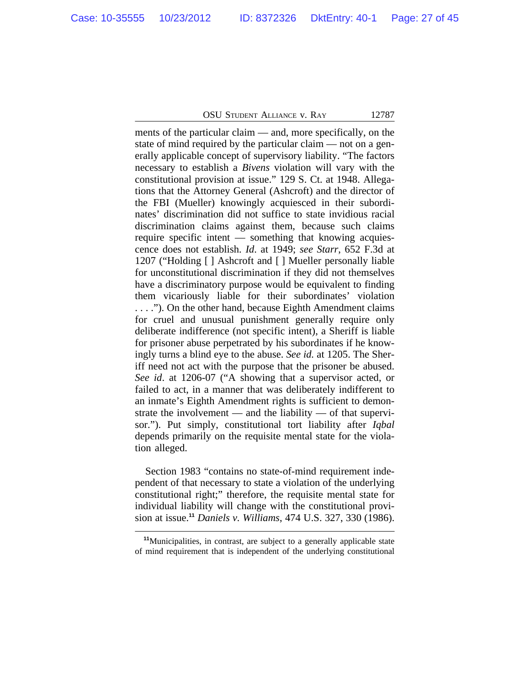ments of the particular claim — and, more specifically, on the state of mind required by the particular claim — not on a generally applicable concept of supervisory liability. "The factors necessary to establish a *Bivens* violation will vary with the constitutional provision at issue." 129 S. Ct. at 1948. Allegations that the Attorney General (Ashcroft) and the director of the FBI (Mueller) knowingly acquiesced in their subordinates' discrimination did not suffice to state invidious racial discrimination claims against them, because such claims require specific intent — something that knowing acquiescence does not establish. *Id*. at 1949; *see Starr*, 652 F.3d at 1207 ("Holding [ ] Ashcroft and [ ] Mueller personally liable for unconstitutional discrimination if they did not themselves have a discriminatory purpose would be equivalent to finding them vicariously liable for their subordinates' violation . . . ."). On the other hand, because Eighth Amendment claims for cruel and unusual punishment generally require only deliberate indifference (not specific intent), a Sheriff is liable for prisoner abuse perpetrated by his subordinates if he knowingly turns a blind eye to the abuse. *See id.* at 1205. The Sheriff need not act with the purpose that the prisoner be abused. *See id*. at 1206-07 ("A showing that a supervisor acted, or failed to act, in a manner that was deliberately indifferent to an inmate's Eighth Amendment rights is sufficient to demonstrate the involvement — and the liability — of that supervisor."). Put simply, constitutional tort liability after *Iqbal* depends primarily on the requisite mental state for the violation alleged.

Section 1983 "contains no state-of-mind requirement independent of that necessary to state a violation of the underlying constitutional right;" therefore, the requisite mental state for individual liability will change with the constitutional provision at issue.**<sup>11</sup>** *Daniels v. Williams*, 474 U.S. 327, 330 (1986).

**<sup>11</sup>**Municipalities, in contrast, are subject to a generally applicable state of mind requirement that is independent of the underlying constitutional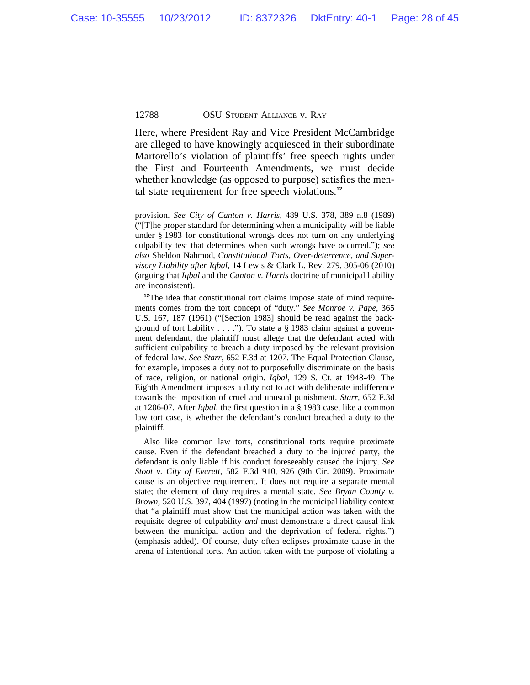Here, where President Ray and Vice President McCambridge are alleged to have knowingly acquiesced in their subordinate Martorello's violation of plaintiffs' free speech rights under the First and Fourteenth Amendments, we must decide whether knowledge (as opposed to purpose) satisfies the mental state requirement for free speech violations.**<sup>12</sup>**

provision. *See City of Canton v. Harris*, 489 U.S. 378, 389 n.8 (1989) ("[T]he proper standard for determining when a municipality will be liable under § 1983 for constitutional wrongs does not turn on any underlying culpability test that determines when such wrongs have occurred."); *see also* Sheldon Nahmod, *Constitutional Torts, Over-deterrence, and Supervisory Liability after Iqbal*, 14 Lewis & Clark L. Rev. 279, 305-06 (2010) (arguing that *Iqbal* and the *Canton v. Harris* doctrine of municipal liability are inconsistent).

**<sup>12</sup>**The idea that constitutional tort claims impose state of mind requirements comes from the tort concept of "duty." *See Monroe v. Pape*, 365 U.S. 167, 187 (1961) ("[Section 1983] should be read against the background of tort liability . . . ."). To state a § 1983 claim against a government defendant, the plaintiff must allege that the defendant acted with sufficient culpability to breach a duty imposed by the relevant provision of federal law. *See Starr*, 652 F.3d at 1207. The Equal Protection Clause, for example, imposes a duty not to purposefully discriminate on the basis of race, religion, or national origin. *Iqbal*, 129 S. Ct. at 1948-49. The Eighth Amendment imposes a duty not to act with deliberate indifference towards the imposition of cruel and unusual punishment. *Starr*, 652 F.3d at 1206-07. After *Iqbal*, the first question in a § 1983 case, like a common law tort case, is whether the defendant's conduct breached a duty to the plaintiff.

Also like common law torts, constitutional torts require proximate cause. Even if the defendant breached a duty to the injured party, the defendant is only liable if his conduct foreseeably caused the injury. *See Stoot v. City of Everett*, 582 F.3d 910, 926 (9th Cir. 2009). Proximate cause is an objective requirement. It does not require a separate mental state; the element of duty requires a mental state. *See Bryan County v. Brown*, 520 U.S. 397, 404 (1997) (noting in the municipal liability context that "a plaintiff must show that the municipal action was taken with the requisite degree of culpability *and* must demonstrate a direct causal link between the municipal action and the deprivation of federal rights.") (emphasis added). Of course, duty often eclipses proximate cause in the arena of intentional torts. An action taken with the purpose of violating a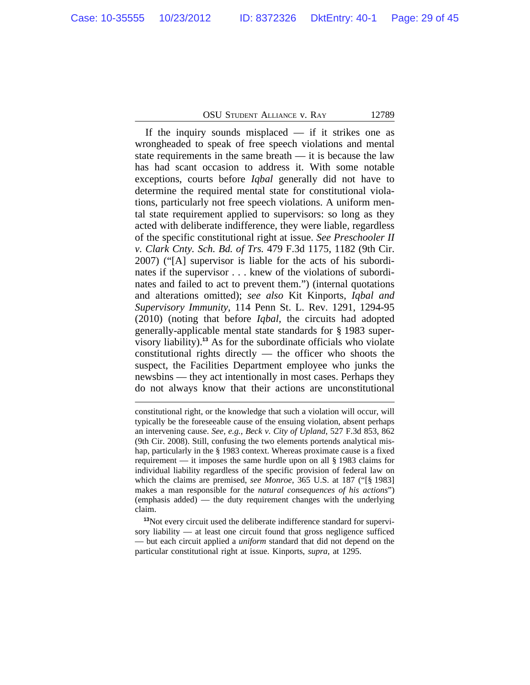If the inquiry sounds misplaced  $-$  if it strikes one as wrongheaded to speak of free speech violations and mental state requirements in the same breath — it is because the law has had scant occasion to address it. With some notable exceptions, courts before *Iqbal* generally did not have to determine the required mental state for constitutional violations, particularly not free speech violations. A uniform mental state requirement applied to supervisors: so long as they acted with deliberate indifference, they were liable, regardless of the specific constitutional right at issue. *See Preschooler II v. Clark Cnty. Sch. Bd. of Trs.* 479 F.3d 1175, 1182 (9th Cir. 2007) ("[A] supervisor is liable for the acts of his subordinates if the supervisor . . . knew of the violations of subordinates and failed to act to prevent them.") (internal quotations and alterations omitted); *see also* Kit Kinports, *Iqbal and Supervisory Immunity*, 114 Penn St. L. Rev. 1291, 1294-95 (2010) (noting that before *Iqbal*, the circuits had adopted generally-applicable mental state standards for § 1983 supervisory liability).**<sup>13</sup>** As for the subordinate officials who violate constitutional rights directly — the officer who shoots the suspect, the Facilities Department employee who junks the newsbins — they act intentionally in most cases. Perhaps they do not always know that their actions are unconstitutional

**<sup>13</sup>**Not every circuit used the deliberate indifference standard for supervisory liability — at least one circuit found that gross negligence sufficed — but each circuit applied a *uniform* standard that did not depend on the particular constitutional right at issue. Kinports, *supra*, at 1295.

constitutional right, or the knowledge that such a violation will occur, will typically be the foreseeable cause of the ensuing violation, absent perhaps an intervening cause. *See, e.g., Beck v. City of Upland*, 527 F.3d 853, 862 (9th Cir. 2008). Still, confusing the two elements portends analytical mishap, particularly in the § 1983 context. Whereas proximate cause is a fixed requirement — it imposes the same hurdle upon on all § 1983 claims for individual liability regardless of the specific provision of federal law on which the claims are premised, *see Monroe*, 365 U.S. at 187 ("[§ 1983] makes a man responsible for the *natural consequences of his actions*") (emphasis added) — the duty requirement changes with the underlying claim.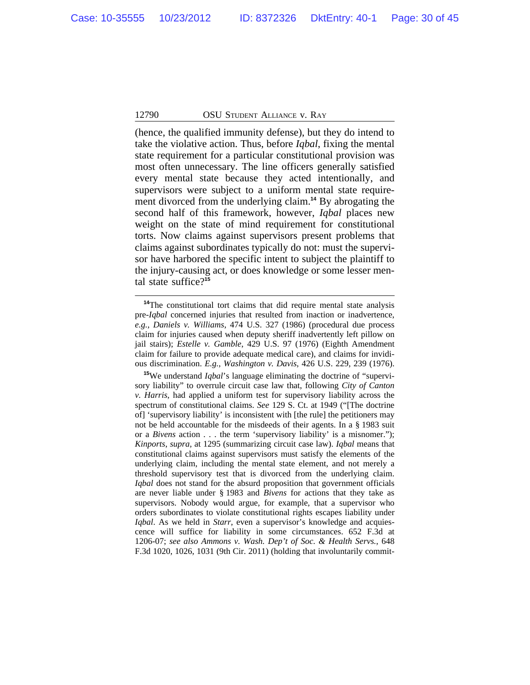(hence, the qualified immunity defense), but they do intend to take the violative action. Thus, before *Iqbal*, fixing the mental state requirement for a particular constitutional provision was most often unnecessary. The line officers generally satisfied every mental state because they acted intentionally, and supervisors were subject to a uniform mental state requirement divorced from the underlying claim.**<sup>14</sup>** By abrogating the second half of this framework, however, *Iqbal* places new weight on the state of mind requirement for constitutional torts. Now claims against supervisors present problems that claims against subordinates typically do not: must the supervisor have harbored the specific intent to subject the plaintiff to the injury-causing act, or does knowledge or some lesser mental state suffice?**<sup>15</sup>**

**<sup>14</sup>**The constitutional tort claims that did require mental state analysis pre-*Iqbal* concerned injuries that resulted from inaction or inadvertence, *e.g.*, *Daniels v. Williams*, 474 U.S. 327 (1986) (procedural due process claim for injuries caused when deputy sheriff inadvertently left pillow on jail stairs); *Estelle v. Gamble*, 429 U.S. 97 (1976) (Eighth Amendment claim for failure to provide adequate medical care), and claims for invidious discrimination. *E.g.*, *Washington v. Davis*, 426 U.S. 229, 239 (1976).

**<sup>15</sup>**We understand *Iqbal*'s language eliminating the doctrine of "supervisory liability" to overrule circuit case law that, following *City of Canton v. Harris*, had applied a uniform test for supervisory liability across the spectrum of constitutional claims. *See* 129 S. Ct. at 1949 ("[The doctrine of] 'supervisory liability' is inconsistent with [the rule] the petitioners may not be held accountable for the misdeeds of their agents. In a § 1983 suit or a *Bivens* action . . . the term 'supervisory liability' is a misnomer."); *Kinports*, *supra*, at 1295 (summarizing circuit case law). *Iqbal* means that constitutional claims against supervisors must satisfy the elements of the underlying claim, including the mental state element, and not merely a threshold supervisory test that is divorced from the underlying claim. *Iqbal* does not stand for the absurd proposition that government officials are never liable under § 1983 and *Bivens* for actions that they take as supervisors. Nobody would argue, for example, that a supervisor who orders subordinates to violate constitutional rights escapes liability under *Iqbal*. As we held in *Starr*, even a supervisor's knowledge and acquiescence will suffice for liability in some circumstances. 652 F.3d at 1206-07; *see also Ammons v. Wash. Dep't of Soc. & Health Servs.*, 648 F.3d 1020, 1026, 1031 (9th Cir. 2011) (holding that involuntarily commit-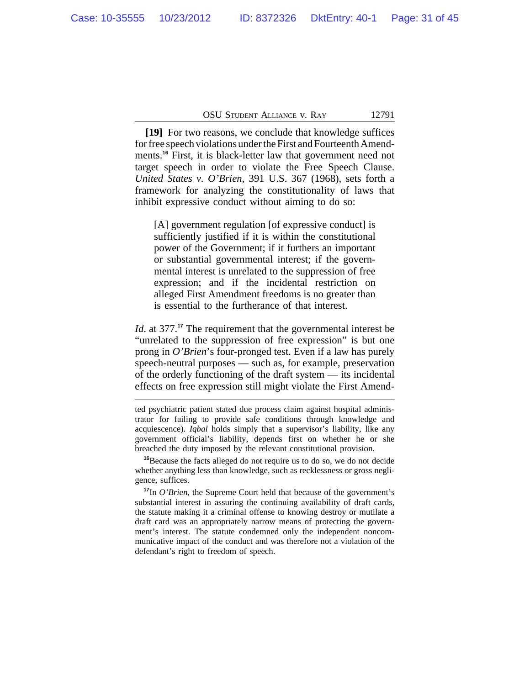**[19]** For two reasons, we conclude that knowledge suffices for free speech violations under the First and Fourteenth Amendments.<sup>16</sup> First, it is black-letter law that government need not target speech in order to violate the Free Speech Clause. *United States v. O'Brien*, 391 U.S. 367 (1968), sets forth a framework for analyzing the constitutionality of laws that inhibit expressive conduct without aiming to do so:

[A] government regulation [of expressive conduct] is sufficiently justified if it is within the constitutional power of the Government; if it furthers an important or substantial governmental interest; if the governmental interest is unrelated to the suppression of free expression; and if the incidental restriction on alleged First Amendment freedoms is no greater than is essential to the furtherance of that interest.

*Id.* at 377.<sup>17</sup> The requirement that the governmental interest be "unrelated to the suppression of free expression" is but one prong in *O'Brien*'s four-pronged test. Even if a law has purely speech-neutral purposes — such as, for example, preservation of the orderly functioning of the draft system — its incidental effects on free expression still might violate the First Amend-

**<sup>16</sup>**Because the facts alleged do not require us to do so, we do not decide whether anything less than knowledge, such as recklessness or gross negligence, suffices.

**<sup>17</sup>**In *O'Brien*, the Supreme Court held that because of the government's substantial interest in assuring the continuing availability of draft cards, the statute making it a criminal offense to knowing destroy or mutilate a draft card was an appropriately narrow means of protecting the government's interest. The statute condemned only the independent noncommunicative impact of the conduct and was therefore not a violation of the defendant's right to freedom of speech.

ted psychiatric patient stated due process claim against hospital administrator for failing to provide safe conditions through knowledge and acquiescence). *Iqbal* holds simply that a supervisor's liability, like any government official's liability, depends first on whether he or she breached the duty imposed by the relevant constitutional provision.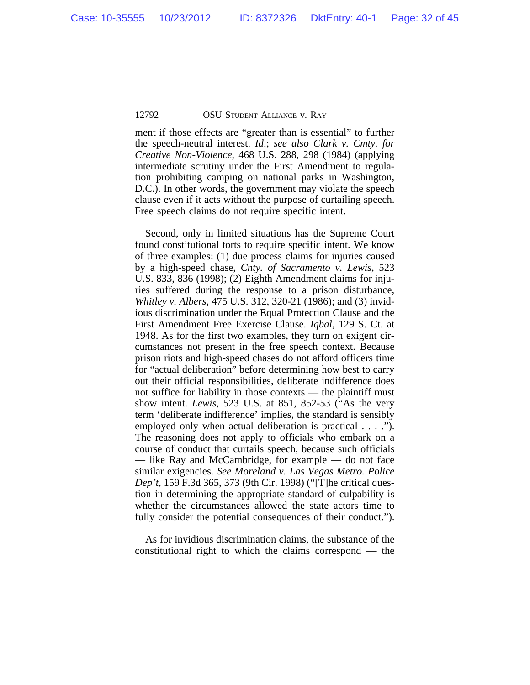ment if those effects are "greater than is essential" to further the speech-neutral interest. *Id*.; *see also Clark v. Cmty. for Creative Non-Violence*, 468 U.S. 288, 298 (1984) (applying intermediate scrutiny under the First Amendment to regulation prohibiting camping on national parks in Washington, D.C.). In other words, the government may violate the speech clause even if it acts without the purpose of curtailing speech. Free speech claims do not require specific intent.

Second, only in limited situations has the Supreme Court found constitutional torts to require specific intent. We know of three examples: (1) due process claims for injuries caused by a high-speed chase, *Cnty. of Sacramento v. Lewis*, 523 U.S. 833, 836 (1998); (2) Eighth Amendment claims for injuries suffered during the response to a prison disturbance, *Whitley v. Albers*, 475 U.S. 312, 320-21 (1986); and (3) invidious discrimination under the Equal Protection Clause and the First Amendment Free Exercise Clause. *Iqbal*, 129 S. Ct. at 1948. As for the first two examples, they turn on exigent circumstances not present in the free speech context. Because prison riots and high-speed chases do not afford officers time for "actual deliberation" before determining how best to carry out their official responsibilities, deliberate indifference does not suffice for liability in those contexts — the plaintiff must show intent. *Lewis*, 523 U.S. at 851, 852-53 ("As the very term 'deliberate indifference' implies, the standard is sensibly employed only when actual deliberation is practical . . . ."). The reasoning does not apply to officials who embark on a course of conduct that curtails speech, because such officials — like Ray and McCambridge, for example — do not face similar exigencies. *See Moreland v. Las Vegas Metro. Police Dep't*, 159 F.3d 365, 373 (9th Cir. 1998) ("[T]he critical question in determining the appropriate standard of culpability is whether the circumstances allowed the state actors time to fully consider the potential consequences of their conduct.").

As for invidious discrimination claims, the substance of the constitutional right to which the claims correspond — the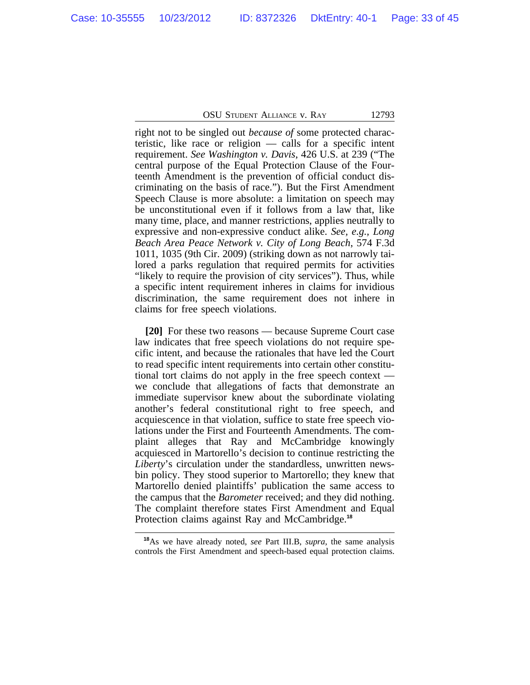right not to be singled out *because of* some protected characteristic, like race or religion — calls for a specific intent requirement. *See Washington v. Davis*, 426 U.S. at 239 ("The central purpose of the Equal Protection Clause of the Fourteenth Amendment is the prevention of official conduct discriminating on the basis of race."). But the First Amendment Speech Clause is more absolute: a limitation on speech may be unconstitutional even if it follows from a law that, like many time, place, and manner restrictions, applies neutrally to expressive and non-expressive conduct alike. *See, e.g., Long Beach Area Peace Network v. City of Long Beach*, 574 F.3d 1011, 1035 (9th Cir. 2009) (striking down as not narrowly tailored a parks regulation that required permits for activities "likely to require the provision of city services"). Thus, while a specific intent requirement inheres in claims for invidious discrimination, the same requirement does not inhere in claims for free speech violations.

**[20]** For these two reasons — because Supreme Court case law indicates that free speech violations do not require specific intent, and because the rationales that have led the Court to read specific intent requirements into certain other constitutional tort claims do not apply in the free speech context we conclude that allegations of facts that demonstrate an immediate supervisor knew about the subordinate violating another's federal constitutional right to free speech, and acquiescence in that violation, suffice to state free speech violations under the First and Fourteenth Amendments. The complaint alleges that Ray and McCambridge knowingly acquiesced in Martorello's decision to continue restricting the *Liberty*'s circulation under the standardless, unwritten newsbin policy. They stood superior to Martorello; they knew that Martorello denied plaintiffs' publication the same access to the campus that the *Barometer* received; and they did nothing. The complaint therefore states First Amendment and Equal Protection claims against Ray and McCambridge.**<sup>18</sup>**

**<sup>18</sup>**As we have already noted, *see* Part III.B, *supra*, the same analysis controls the First Amendment and speech-based equal protection claims.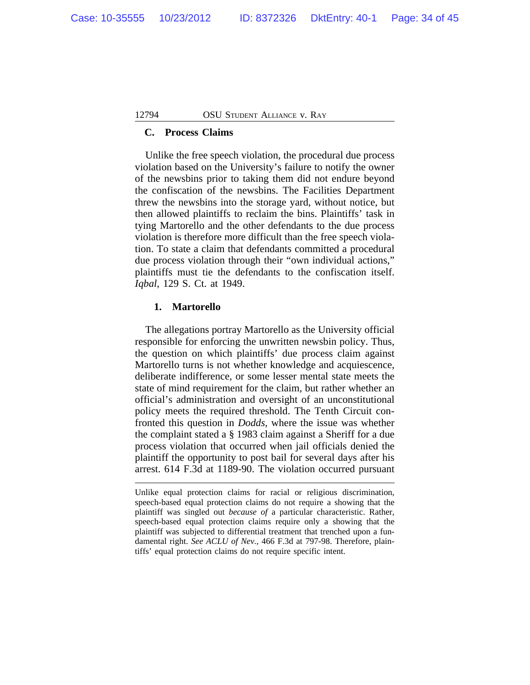### **C. Process Claims**

Unlike the free speech violation, the procedural due process violation based on the University's failure to notify the owner of the newsbins prior to taking them did not endure beyond the confiscation of the newsbins. The Facilities Department threw the newsbins into the storage yard, without notice, but then allowed plaintiffs to reclaim the bins. Plaintiffs' task in tying Martorello and the other defendants to the due process violation is therefore more difficult than the free speech violation. To state a claim that defendants committed a procedural due process violation through their "own individual actions," plaintiffs must tie the defendants to the confiscation itself. *Iqbal*, 129 S. Ct. at 1949.

### **1. Martorello**

The allegations portray Martorello as the University official responsible for enforcing the unwritten newsbin policy. Thus, the question on which plaintiffs' due process claim against Martorello turns is not whether knowledge and acquiescence, deliberate indifference, or some lesser mental state meets the state of mind requirement for the claim, but rather whether an official's administration and oversight of an unconstitutional policy meets the required threshold. The Tenth Circuit confronted this question in *Dodds*, where the issue was whether the complaint stated a § 1983 claim against a Sheriff for a due process violation that occurred when jail officials denied the plaintiff the opportunity to post bail for several days after his arrest. 614 F.3d at 1189-90. The violation occurred pursuant

Unlike equal protection claims for racial or religious discrimination, speech-based equal protection claims do not require a showing that the plaintiff was singled out *because of* a particular characteristic. Rather, speech-based equal protection claims require only a showing that the plaintiff was subjected to differential treatment that trenched upon a fundamental right. *See ACLU of Nev.*, 466 F.3d at 797-98. Therefore, plaintiffs' equal protection claims do not require specific intent.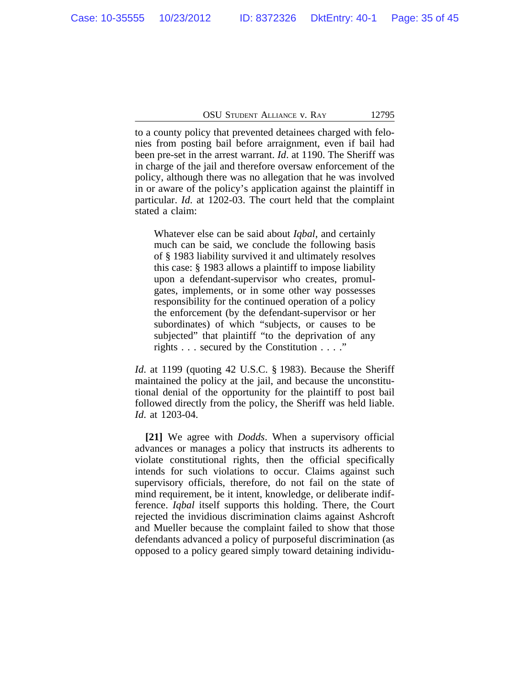to a county policy that prevented detainees charged with felonies from posting bail before arraignment, even if bail had been pre-set in the arrest warrant. *Id*. at 1190. The Sheriff was in charge of the jail and therefore oversaw enforcement of the policy, although there was no allegation that he was involved in or aware of the policy's application against the plaintiff in particular. *Id*. at 1202-03. The court held that the complaint stated a claim:

Whatever else can be said about *Iqbal*, and certainly much can be said, we conclude the following basis of § 1983 liability survived it and ultimately resolves this case: § 1983 allows a plaintiff to impose liability upon a defendant-supervisor who creates, promulgates, implements, or in some other way possesses responsibility for the continued operation of a policy the enforcement (by the defendant-supervisor or her subordinates) of which "subjects, or causes to be subjected" that plaintiff "to the deprivation of any rights . . . secured by the Constitution . . . ."

*Id*. at 1199 (quoting 42 U.S.C. § 1983). Because the Sheriff maintained the policy at the jail, and because the unconstitutional denial of the opportunity for the plaintiff to post bail followed directly from the policy, the Sheriff was held liable. *Id*. at 1203-04.

**[21]** We agree with *Dodds*. When a supervisory official advances or manages a policy that instructs its adherents to violate constitutional rights, then the official specifically intends for such violations to occur. Claims against such supervisory officials, therefore, do not fail on the state of mind requirement, be it intent, knowledge, or deliberate indifference. *Iqbal* itself supports this holding. There, the Court rejected the invidious discrimination claims against Ashcroft and Mueller because the complaint failed to show that those defendants advanced a policy of purposeful discrimination (as opposed to a policy geared simply toward detaining individu-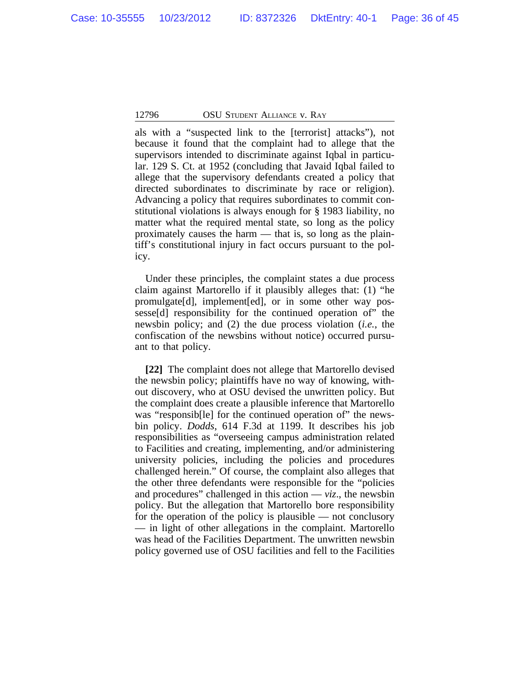als with a "suspected link to the [terrorist] attacks"), not because it found that the complaint had to allege that the supervisors intended to discriminate against Iqbal in particular. 129 S. Ct. at 1952 (concluding that Javaid Iqbal failed to allege that the supervisory defendants created a policy that directed subordinates to discriminate by race or religion). Advancing a policy that requires subordinates to commit constitutional violations is always enough for § 1983 liability, no matter what the required mental state, so long as the policy proximately causes the harm — that is, so long as the plaintiff's constitutional injury in fact occurs pursuant to the policy.

Under these principles, the complaint states a due process claim against Martorello if it plausibly alleges that: (1) "he promulgate[d], implement[ed], or in some other way possesse[d] responsibility for the continued operation of" the newsbin policy; and (2) the due process violation (*i.e.*, the confiscation of the newsbins without notice) occurred pursuant to that policy.

**[22]** The complaint does not allege that Martorello devised the newsbin policy; plaintiffs have no way of knowing, without discovery, who at OSU devised the unwritten policy. But the complaint does create a plausible inference that Martorello was "responsib<br/>[le] for the continued operation of the newsbin policy. *Dodds*, 614 F.3d at 1199. It describes his job responsibilities as "overseeing campus administration related to Facilities and creating, implementing, and/or administering university policies, including the policies and procedures challenged herein." Of course, the complaint also alleges that the other three defendants were responsible for the "policies and procedures" challenged in this action  $-$  *viz.*, the newsbin policy. But the allegation that Martorello bore responsibility for the operation of the policy is plausible — not conclusory — in light of other allegations in the complaint. Martorello was head of the Facilities Department. The unwritten newsbin policy governed use of OSU facilities and fell to the Facilities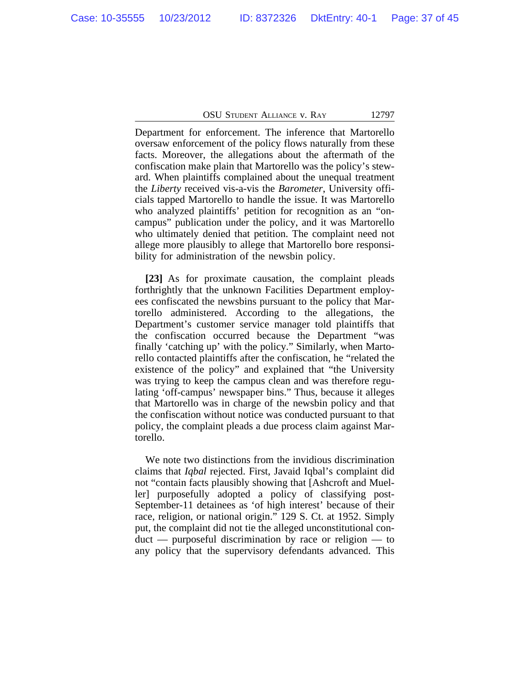Department for enforcement. The inference that Martorello oversaw enforcement of the policy flows naturally from these facts. Moreover, the allegations about the aftermath of the confiscation make plain that Martorello was the policy's steward. When plaintiffs complained about the unequal treatment the *Liberty* received vis-a-vis the *Barometer*, University officials tapped Martorello to handle the issue. It was Martorello who analyzed plaintiffs' petition for recognition as an "oncampus" publication under the policy, and it was Martorello who ultimately denied that petition. The complaint need not allege more plausibly to allege that Martorello bore responsibility for administration of the newsbin policy.

**[23]** As for proximate causation, the complaint pleads forthrightly that the unknown Facilities Department employees confiscated the newsbins pursuant to the policy that Martorello administered. According to the allegations, the Department's customer service manager told plaintiffs that the confiscation occurred because the Department "was finally 'catching up' with the policy." Similarly, when Martorello contacted plaintiffs after the confiscation, he "related the existence of the policy" and explained that "the University was trying to keep the campus clean and was therefore regulating 'off-campus' newspaper bins." Thus, because it alleges that Martorello was in charge of the newsbin policy and that the confiscation without notice was conducted pursuant to that policy, the complaint pleads a due process claim against Martorello.

We note two distinctions from the invidious discrimination claims that *Iqbal* rejected. First, Javaid Iqbal's complaint did not "contain facts plausibly showing that [Ashcroft and Mueller] purposefully adopted a policy of classifying post-September-11 detainees as 'of high interest' because of their race, religion, or national origin." 129 S. Ct. at 1952. Simply put, the complaint did not tie the alleged unconstitutional conduct — purposeful discrimination by race or religion — to any policy that the supervisory defendants advanced. This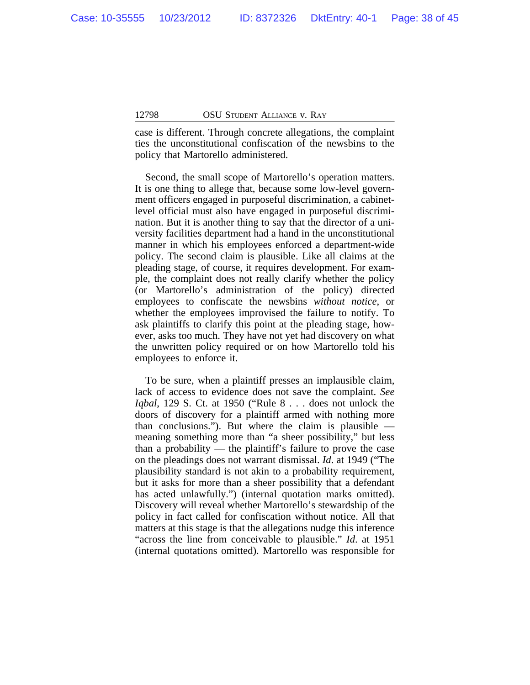case is different. Through concrete allegations, the complaint ties the unconstitutional confiscation of the newsbins to the policy that Martorello administered.

Second, the small scope of Martorello's operation matters. It is one thing to allege that, because some low-level government officers engaged in purposeful discrimination, a cabinetlevel official must also have engaged in purposeful discrimination. But it is another thing to say that the director of a university facilities department had a hand in the unconstitutional manner in which his employees enforced a department-wide policy. The second claim is plausible. Like all claims at the pleading stage, of course, it requires development. For example, the complaint does not really clarify whether the policy (or Martorello's administration of the policy) directed employees to confiscate the newsbins *without notice*, or whether the employees improvised the failure to notify. To ask plaintiffs to clarify this point at the pleading stage, however, asks too much. They have not yet had discovery on what the unwritten policy required or on how Martorello told his employees to enforce it.

To be sure, when a plaintiff presses an implausible claim, lack of access to evidence does not save the complaint. *See Iqbal*, 129 S. Ct. at 1950 ("Rule 8 . . . does not unlock the doors of discovery for a plaintiff armed with nothing more than conclusions."). But where the claim is plausible  $$ meaning something more than "a sheer possibility," but less than a probability — the plaintiff's failure to prove the case on the pleadings does not warrant dismissal. *Id*. at 1949 ("The plausibility standard is not akin to a probability requirement, but it asks for more than a sheer possibility that a defendant has acted unlawfully.") (internal quotation marks omitted). Discovery will reveal whether Martorello's stewardship of the policy in fact called for confiscation without notice. All that matters at this stage is that the allegations nudge this inference "across the line from conceivable to plausible." *Id*. at 1951 (internal quotations omitted). Martorello was responsible for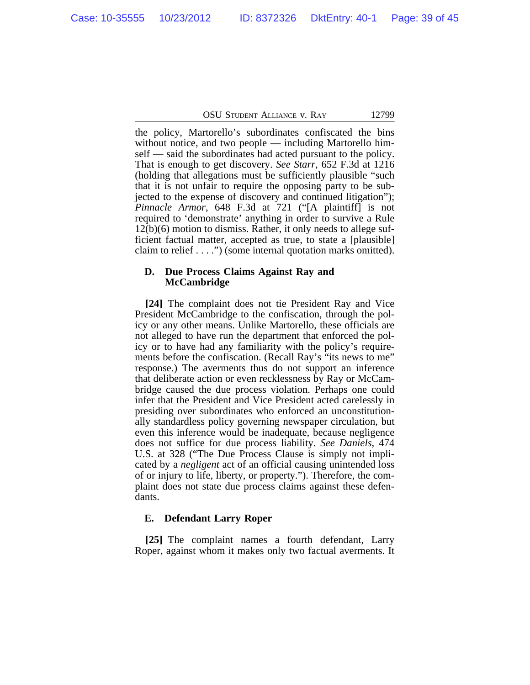the policy, Martorello's subordinates confiscated the bins without notice, and two people — including Martorello himself — said the subordinates had acted pursuant to the policy. That is enough to get discovery. *See Starr*, 652 F.3d at 1216 (holding that allegations must be sufficiently plausible "such that it is not unfair to require the opposing party to be subjected to the expense of discovery and continued litigation"); *Pinnacle Armor*, 648 F.3d at 721 ("[A plaintiff] is not required to 'demonstrate' anything in order to survive a Rule 12(b)(6) motion to dismiss. Rather, it only needs to allege sufficient factual matter, accepted as true, to state a [plausible] claim to relief . . . .") (some internal quotation marks omitted).

### **D. Due Process Claims Against Ray and McCambridge**

**[24]** The complaint does not tie President Ray and Vice President McCambridge to the confiscation, through the policy or any other means. Unlike Martorello, these officials are not alleged to have run the department that enforced the policy or to have had any familiarity with the policy's requirements before the confiscation. (Recall Ray's "its news to me" response.) The averments thus do not support an inference that deliberate action or even recklessness by Ray or McCambridge caused the due process violation. Perhaps one could infer that the President and Vice President acted carelessly in presiding over subordinates who enforced an unconstitutionally standardless policy governing newspaper circulation, but even this inference would be inadequate, because negligence does not suffice for due process liability. *See Daniels*, 474 U.S. at 328 ("The Due Process Clause is simply not implicated by a *negligent* act of an official causing unintended loss of or injury to life, liberty, or property."). Therefore, the complaint does not state due process claims against these defendants.

# **E. Defendant Larry Roper**

**[25]** The complaint names a fourth defendant, Larry Roper, against whom it makes only two factual averments. It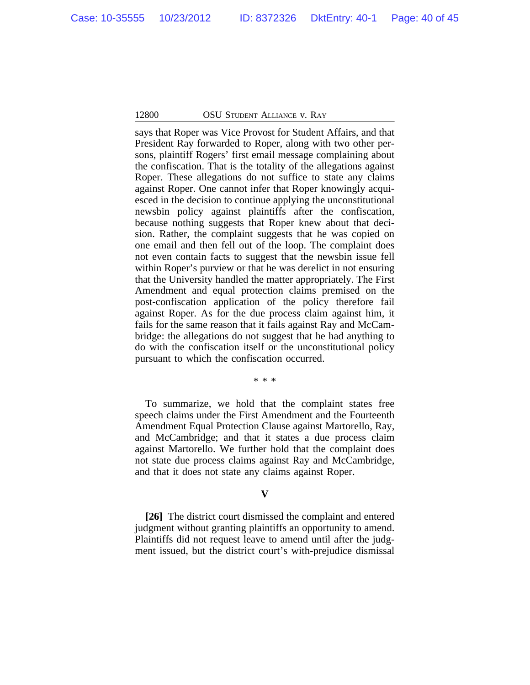says that Roper was Vice Provost for Student Affairs, and that President Ray forwarded to Roper, along with two other persons, plaintiff Rogers' first email message complaining about the confiscation. That is the totality of the allegations against Roper. These allegations do not suffice to state any claims against Roper. One cannot infer that Roper knowingly acquiesced in the decision to continue applying the unconstitutional newsbin policy against plaintiffs after the confiscation, because nothing suggests that Roper knew about that decision. Rather, the complaint suggests that he was copied on one email and then fell out of the loop. The complaint does not even contain facts to suggest that the newsbin issue fell within Roper's purview or that he was derelict in not ensuring that the University handled the matter appropriately. The First Amendment and equal protection claims premised on the post-confiscation application of the policy therefore fail against Roper. As for the due process claim against him, it fails for the same reason that it fails against Ray and McCambridge: the allegations do not suggest that he had anything to do with the confiscation itself or the unconstitutional policy pursuant to which the confiscation occurred.

\* \* \*

To summarize, we hold that the complaint states free speech claims under the First Amendment and the Fourteenth Amendment Equal Protection Clause against Martorello, Ray, and McCambridge; and that it states a due process claim against Martorello. We further hold that the complaint does not state due process claims against Ray and McCambridge, and that it does not state any claims against Roper.

### **V**

**[26]** The district court dismissed the complaint and entered judgment without granting plaintiffs an opportunity to amend. Plaintiffs did not request leave to amend until after the judgment issued, but the district court's with-prejudice dismissal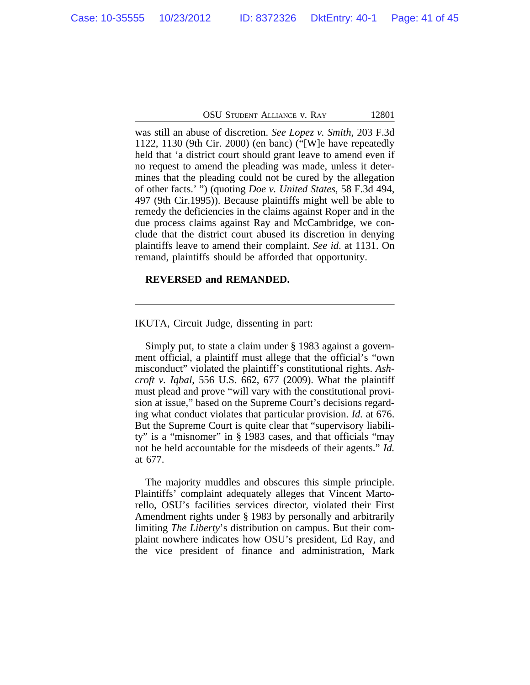was still an abuse of discretion. *See Lopez v. Smith*, 203 F.3d 1122, 1130 (9th Cir. 2000) (en banc) ("[W]e have repeatedly held that 'a district court should grant leave to amend even if no request to amend the pleading was made, unless it determines that the pleading could not be cured by the allegation of other facts.' ") (quoting *Doe v. United States,* 58 F.3d 494, 497 (9th Cir.1995)). Because plaintiffs might well be able to remedy the deficiencies in the claims against Roper and in the due process claims against Ray and McCambridge, we conclude that the district court abused its discretion in denying plaintiffs leave to amend their complaint. *See id*. at 1131. On remand, plaintiffs should be afforded that opportunity.

### **REVERSED and REMANDED.**

IKUTA, Circuit Judge, dissenting in part:

Simply put, to state a claim under § 1983 against a government official, a plaintiff must allege that the official's "own misconduct" violated the plaintiff's constitutional rights. *Ashcroft v. Iqbal*, 556 U.S. 662, 677 (2009). What the plaintiff must plead and prove "will vary with the constitutional provision at issue," based on the Supreme Court's decisions regarding what conduct violates that particular provision. *Id.* at 676. But the Supreme Court is quite clear that "supervisory liability" is a "misnomer" in § 1983 cases, and that officials "may not be held accountable for the misdeeds of their agents." *Id.* at 677.

The majority muddles and obscures this simple principle. Plaintiffs' complaint adequately alleges that Vincent Martorello, OSU's facilities services director, violated their First Amendment rights under § 1983 by personally and arbitrarily limiting *The Liberty*'s distribution on campus. But their complaint nowhere indicates how OSU's president, Ed Ray, and the vice president of finance and administration, Mark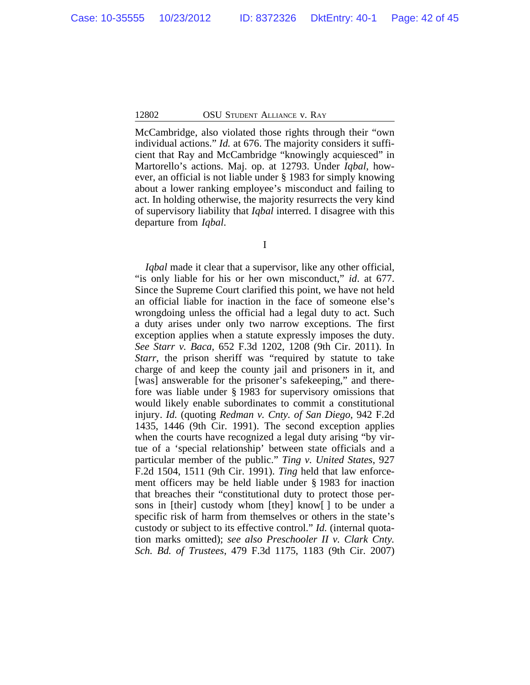McCambridge, also violated those rights through their "own individual actions." *Id.* at 676. The majority considers it sufficient that Ray and McCambridge "knowingly acquiesced" in Martorello's actions. Maj. op. at 12793. Under *Iqbal*, however, an official is not liable under § 1983 for simply knowing about a lower ranking employee's misconduct and failing to act. In holding otherwise, the majority resurrects the very kind of supervisory liability that *Iqbal* interred. I disagree with this departure from *Iqbal*.

I

*Igbal* made it clear that a supervisor, like any other official, "is only liable for his or her own misconduct," *id*. at 677. Since the Supreme Court clarified this point, we have not held an official liable for inaction in the face of someone else's wrongdoing unless the official had a legal duty to act. Such a duty arises under only two narrow exceptions. The first exception applies when a statute expressly imposes the duty. *See Starr v. Baca*, 652 F.3d 1202, 1208 (9th Cir. 2011). In *Starr*, the prison sheriff was "required by statute to take charge of and keep the county jail and prisoners in it, and [was] answerable for the prisoner's safekeeping," and therefore was liable under § 1983 for supervisory omissions that would likely enable subordinates to commit a constitutional injury. *Id.* (quoting *Redman v. Cnty. of San Diego*, 942 F.2d 1435, 1446 (9th Cir. 1991). The second exception applies when the courts have recognized a legal duty arising "by virtue of a 'special relationship' between state officials and a particular member of the public." *Ting v. United States*, 927 F.2d 1504, 1511 (9th Cir. 1991). *Ting* held that law enforcement officers may be held liable under § 1983 for inaction that breaches their "constitutional duty to protect those persons in [their] custody whom [they] know[ ] to be under a specific risk of harm from themselves or others in the state's custody or subject to its effective control." *Id.* (internal quotation marks omitted); *see also Preschooler II v. Clark Cnty. Sch. Bd. of Trustees*, 479 F.3d 1175, 1183 (9th Cir. 2007)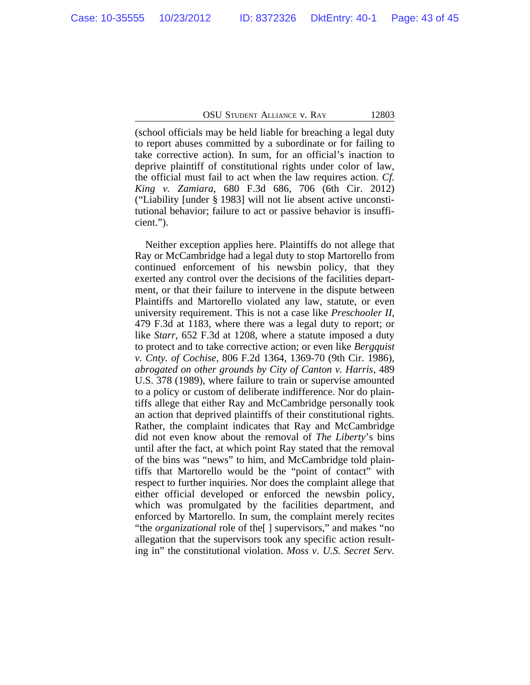(school officials may be held liable for breaching a legal duty to report abuses committed by a subordinate or for failing to take corrective action). In sum, for an official's inaction to deprive plaintiff of constitutional rights under color of law, the official must fail to act when the law requires action. *Cf. King v. Zamiara*, 680 F.3d 686, 706 (6th Cir. 2012) ("Liability [under § 1983] will not lie absent active unconstitutional behavior; failure to act or passive behavior is insufficient.").

Neither exception applies here. Plaintiffs do not allege that Ray or McCambridge had a legal duty to stop Martorello from continued enforcement of his newsbin policy, that they exerted any control over the decisions of the facilities department, or that their failure to intervene in the dispute between Plaintiffs and Martorello violated any law, statute, or even university requirement. This is not a case like *Preschooler II*, 479 F.3d at 1183, where there was a legal duty to report; or like *Starr*, 652 F.3d at 1208, where a statute imposed a duty to protect and to take corrective action; or even like *Bergquist v. Cnty. of Cochise*, 806 F.2d 1364, 1369-70 (9th Cir. 1986), *abrogated on other grounds by City of Canton v. Harris*, 489 U.S. 378 (1989), where failure to train or supervise amounted to a policy or custom of deliberate indifference. Nor do plaintiffs allege that either Ray and McCambridge personally took an action that deprived plaintiffs of their constitutional rights. Rather, the complaint indicates that Ray and McCambridge did not even know about the removal of *The Liberty*'s bins until after the fact, at which point Ray stated that the removal of the bins was "news" to him, and McCambridge told plaintiffs that Martorello would be the "point of contact" with respect to further inquiries. Nor does the complaint allege that either official developed or enforced the newsbin policy, which was promulgated by the facilities department, and enforced by Martorello. In sum, the complaint merely recites "the *organizational* role of the[ ] supervisors," and makes "no allegation that the supervisors took any specific action resulting in" the constitutional violation. *Moss v. U.S. Secret Serv.*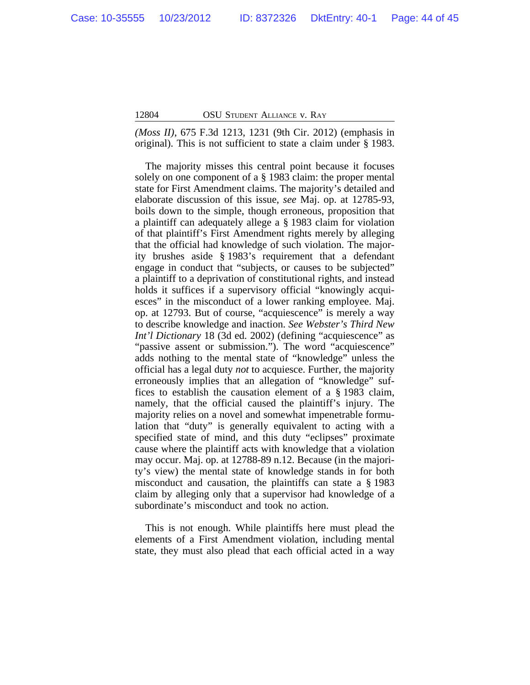*(Moss II)*, 675 F.3d 1213, 1231 (9th Cir. 2012) (emphasis in original). This is not sufficient to state a claim under § 1983.

The majority misses this central point because it focuses solely on one component of a § 1983 claim: the proper mental state for First Amendment claims. The majority's detailed and elaborate discussion of this issue, *see* Maj. op. at 12785-93, boils down to the simple, though erroneous, proposition that a plaintiff can adequately allege a § 1983 claim for violation of that plaintiff's First Amendment rights merely by alleging that the official had knowledge of such violation. The majority brushes aside § 1983's requirement that a defendant engage in conduct that "subjects, or causes to be subjected" a plaintiff to a deprivation of constitutional rights, and instead holds it suffices if a supervisory official "knowingly acquiesces" in the misconduct of a lower ranking employee. Maj. op. at 12793. But of course, "acquiescence" is merely a way to describe knowledge and inaction. *See Webster's Third New Int'l Dictionary* 18 (3d ed. 2002) (defining "acquiescence" as "passive assent or submission."). The word "acquiescence" adds nothing to the mental state of "knowledge" unless the official has a legal duty *not* to acquiesce. Further, the majority erroneously implies that an allegation of "knowledge" suffices to establish the causation element of a § 1983 claim, namely, that the official caused the plaintiff's injury. The majority relies on a novel and somewhat impenetrable formulation that "duty" is generally equivalent to acting with a specified state of mind, and this duty "eclipses" proximate cause where the plaintiff acts with knowledge that a violation may occur. Maj. op. at 12788-89 n.12. Because (in the majority's view) the mental state of knowledge stands in for both misconduct and causation, the plaintiffs can state a § 1983 claim by alleging only that a supervisor had knowledge of a subordinate's misconduct and took no action.

This is not enough. While plaintiffs here must plead the elements of a First Amendment violation, including mental state, they must also plead that each official acted in a way